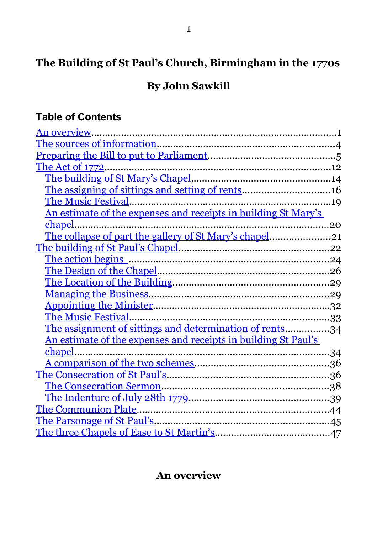# **The Building of St Paul's Church, Birmingham in the 1770s**

# **By John Sawkill**

# **Table of Contents**

| An overview                                                    |  |
|----------------------------------------------------------------|--|
|                                                                |  |
|                                                                |  |
|                                                                |  |
|                                                                |  |
|                                                                |  |
|                                                                |  |
| An estimate of the expenses and receipts in building St Mary's |  |
| chapel.<br>20                                                  |  |
| The collapse of part the gallery of St Mary's chapel21         |  |
|                                                                |  |
|                                                                |  |
|                                                                |  |
|                                                                |  |
|                                                                |  |
|                                                                |  |
|                                                                |  |
| The assignment of sittings and determination of rents34        |  |
| An estimate of the expenses and receipts in building St Paul's |  |
|                                                                |  |
|                                                                |  |
|                                                                |  |
|                                                                |  |
|                                                                |  |
|                                                                |  |
|                                                                |  |
|                                                                |  |

# <span id="page-0-0"></span>**An overview**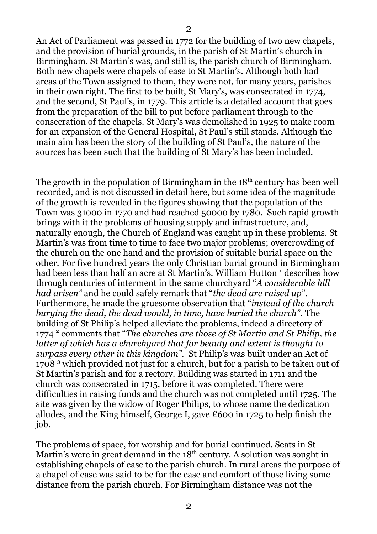An Act of Parliament was passed in 1772 for the building of two new chapels, and the provision of burial grounds, in the parish of St Martin's church in Birmingham. St Martin's was, and still is, the parish church of Birmingham. Both new chapels were chapels of ease to St Martin's. Although both had areas of the Town assigned to them, they were not, for many years, parishes in their own right. The first to be built, St Mary's, was consecrated in 1774, and the second, St Paul's, in 1779. This article is a detailed account that goes from the preparation of the bill to put before parliament through to the consecration of the chapels. St Mary's was demolished in 1925 to make room for an expansion of the General Hospital, St Paul's still stands. Although the main aim has been the story of the building of St Paul's, the nature of the sources has been such that the building of St Mary's has been included.

The growth in the population of Birmingham in the  $18<sup>th</sup>$  century has been well recorded, and is not discussed in detail here, but some idea of the magnitude of the growth is revealed in the figures showing that the population of the Town was 31000 in 1770 and had reached 50000 by 1780. Such rapid growth brings with it the problems of housing supply and infrastructure, and, naturally enough, the Church of England was caught up in these problems. St Martin's was from time to time to face two major problems; overcrowding of the church on the one hand and the provision of suitable burial space on the other. For five hundred years the only Christian burial ground in Birmingham had been less than half an acre at St Martin's. William Hutton **<sup>1</sup>** describes how through centuries of interment in the same churchyard "*A considerable hill had arisen"* and he could safely remark that "*the dead are raised up*". Furthermore, he made the gruesome observation that "*instead of the church burying the dead, the dead would, in time, have buried the church"*. The building of St Philip's helped alleviate the problems, indeed a directory of 1774 **<sup>2</sup>** comments that "*The churches are those of St Martin and St Philip, the latter of which has a churchyard that for beauty and extent is thought to surpass every other in this kingdom".* St Philip's was built under an Act of 1708 **<sup>3</sup>** which provided not just for a church, but for a parish to be taken out of St Martin's parish and for a rectory. Building was started in 1711 and the church was consecrated in 1715, before it was completed. There were difficulties in raising funds and the church was not completed until 1725. The site was given by the widow of Roger Philips, to whose name the dedication alludes, and the King himself, George I, gave £600 in 1725 to help finish the job.

The problems of space, for worship and for burial continued. Seats in St Martin's were in great demand in the 18<sup>th</sup> century. A solution was sought in establishing chapels of ease to the parish church. In rural areas the purpose of a chapel of ease was said to be for the ease and comfort of those living some distance from the parish church. For Birmingham distance was not the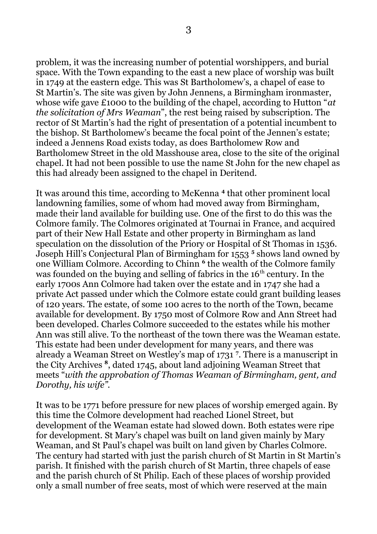problem, it was the increasing number of potential worshippers, and burial space. With the Town expanding to the east a new place of worship was built in 1749 at the eastern edge. This was St Bartholomew's, a chapel of ease to St Martin's. The site was given by John Jennens, a Birmingham ironmaster, whose wife gave £1000 to the building of the chapel, according to Hutton "*at the solicitation of Mrs Weaman*", the rest being raised by subscription. The rector of St Martin's had the right of presentation of a potential incumbent to the bishop. St Bartholomew's became the focal point of the Jennen's estate; indeed a Jennens Road exists today, as does Bartholomew Row and Bartholomew Street in the old Masshouse area, close to the site of the original chapel. It had not been possible to use the name St John for the new chapel as this had already been assigned to the chapel in Deritend.

It was around this time, according to McKenna<sup>4</sup> that other prominent local landowning families, some of whom had moved away from Birmingham, made their land available for building use. One of the first to do this was the Colmore family. The Colmores originated at Tournai in France, and acquired part of their New Hall Estate and other property in Birmingham as land speculation on the dissolution of the Priory or Hospital of St Thomas in 1536. Joseph Hill's Conjectural Plan of Birmingham for 1553 **<sup>5</sup>** shows land owned by one William Colmore. According to Chinn **<sup>6</sup>** the wealth of the Colmore family was founded on the buying and selling of fabrics in the  $16<sup>th</sup>$  century. In the early 1700s Ann Colmore had taken over the estate and in 1747 she had a private Act passed under which the Colmore estate could grant building leases of 120 years. The estate, of some 100 acres to the north of the Town, became available for development. By 1750 most of Colmore Row and Ann Street had been developed. Charles Colmore succeeded to the estates while his mother Ann was still alive. To the northeast of the town there was the Weaman estate. This estate had been under development for many years, and there was already a Weaman Street on Westley's map of 1731 **<sup>7</sup>** . There is a manuscript in the City Archives **<sup>8</sup>** , dated 1745, about land adjoining Weaman Street that meets "*with the approbation of Thomas Weaman of Birmingham, gent, and Dorothy, his wife".* 

It was to be 1771 before pressure for new places of worship emerged again. By this time the Colmore development had reached Lionel Street, but development of the Weaman estate had slowed down. Both estates were ripe for development. St Mary's chapel was built on land given mainly by Mary Weaman, and St Paul's chapel was built on land given by Charles Colmore. The century had started with just the parish church of St Martin in St Martin's parish. It finished with the parish church of St Martin, three chapels of ease and the parish church of St Philip. Each of these places of worship provided only a small number of free seats, most of which were reserved at the main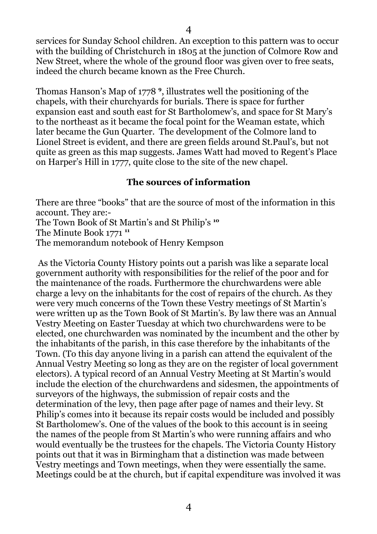services for Sunday School children. An exception to this pattern was to occur with the building of Christchurch in 1805 at the junction of Colmore Row and New Street, where the whole of the ground floor was given over to free seats, indeed the church became known as the Free Church.

Thomas Hanson's Map of 1778 **<sup>9</sup>** , illustrates well the positioning of the chapels, with their churchyards for burials. There is space for further expansion east and south east for St Bartholomew's, and space for St Mary's to the northeast as it became the focal point for the Weaman estate, which later became the Gun Quarter. The development of the Colmore land to Lionel Street is evident, and there are green fields around St.Paul's, but not quite as green as this map suggests. James Watt had moved to Regent's Place on Harper's Hill in 1777, quite close to the site of the new chapel.

#### <span id="page-3-0"></span>**The sources of information**

There are three "books" that are the source of most of the information in this account. They are:-

The Town Book of St Martin's and St Philip's **<sup>10</sup>**

The Minute Book 1771 **<sup>11</sup>**

The memorandum notebook of Henry Kempson

 As the Victoria County History points out a parish was like a separate local government authority with responsibilities for the relief of the poor and for the maintenance of the roads. Furthermore the churchwardens were able charge a levy on the inhabitants for the cost of repairs of the church. As they were very much concerns of the Town these Vestry meetings of St Martin's were written up as the Town Book of St Martin's. By law there was an Annual Vestry Meeting on Easter Tuesday at which two churchwardens were to be elected, one churchwarden was nominated by the incumbent and the other by the inhabitants of the parish, in this case therefore by the inhabitants of the Town. (To this day anyone living in a parish can attend the equivalent of the Annual Vestry Meeting so long as they are on the register of local government electors). A typical record of an Annual Vestry Meeting at St Martin's would include the election of the churchwardens and sidesmen, the appointments of surveyors of the highways, the submission of repair costs and the determination of the levy, then page after page of names and their levy. St Philip's comes into it because its repair costs would be included and possibly St Bartholomew's. One of the values of the book to this account is in seeing the names of the people from St Martin's who were running affairs and who would eventually be the trustees for the chapels. The Victoria County History points out that it was in Birmingham that a distinction was made between Vestry meetings and Town meetings, when they were essentially the same. Meetings could be at the church, but if capital expenditure was involved it was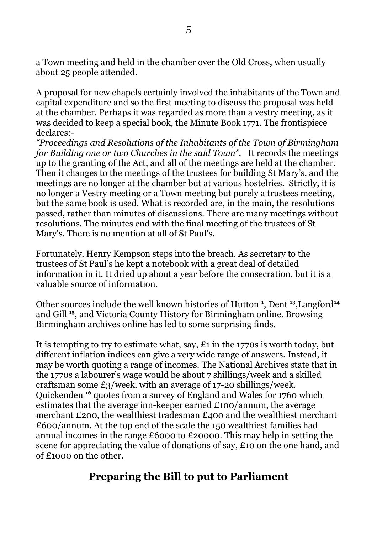a Town meeting and held in the chamber over the Old Cross, when usually about 25 people attended.

A proposal for new chapels certainly involved the inhabitants of the Town and capital expenditure and so the first meeting to discuss the proposal was held at the chamber. Perhaps it was regarded as more than a vestry meeting, as it was decided to keep a special book, the Minute Book 1771. The frontispiece declares:-

*"Proceedings and Resolutions of the Inhabitants of the Town of Birmingham for Building one or two Churches in the said Town".* It records the meetings up to the granting of the Act, and all of the meetings are held at the chamber. Then it changes to the meetings of the trustees for building St Mary's, and the meetings are no longer at the chamber but at various hostelries. Strictly, it is no longer a Vestry meeting or a Town meeting but purely a trustees meeting, but the same book is used. What is recorded are, in the main, the resolutions passed, rather than minutes of discussions. There are many meetings without resolutions. The minutes end with the final meeting of the trustees of St Mary's. There is no mention at all of St Paul's.

Fortunately, Henry Kempson steps into the breach. As secretary to the trustees of St Paul's he kept a notebook with a great deal of detailed information in it. It dried up about a year before the consecration, but it is a valuable source of information.

Other sources include the well known histories of Hutton **<sup>1</sup>** , Dent **<sup>13</sup>**,Langford**<sup>14</sup>** and Gill **<sup>15</sup>**, and Victoria County History for Birmingham online. Browsing Birmingham archives online has led to some surprising finds.

It is tempting to try to estimate what, say, £1 in the 1770s is worth today, but different inflation indices can give a very wide range of answers. Instead, it may be worth quoting a range of incomes. The National Archives state that in the 1770s a labourer's wage would be about 7 shillings/week and a skilled craftsman some £3/week, with an average of 17-20 shillings/week. Quickenden **<sup>16</sup>** quotes from a survey of England and Wales for 1760 which estimates that the average inn-keeper earned £100/annum, the average merchant £200, the wealthiest tradesman £400 and the wealthiest merchant £600/annum. At the top end of the scale the 150 wealthiest families had annual incomes in the range £6000 to £20000. This may help in setting the scene for appreciating the value of donations of say, £10 on the one hand, and of £1000 on the other.

## <span id="page-4-0"></span>**Preparing the Bill to put to Parliament**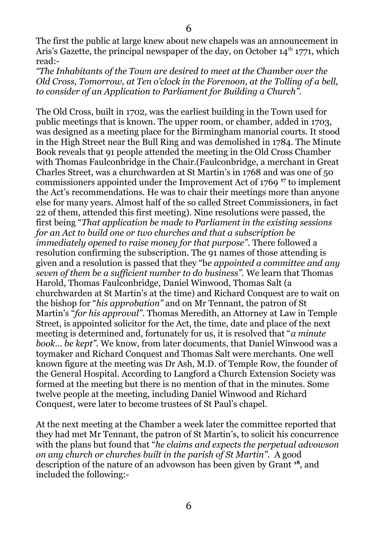The first the public at large knew about new chapels was an announcement in Aris's Gazette, the principal newspaper of the day, on October  $14<sup>th</sup> 1771$ , which read:-

*"The Inhabitants of the Town are desired to meet at the Chamber over the Old Cross, Tomorrow, at Ten o'clock in the Forenoon, at the Tolling of a bell, to consider of an Application to Parliament for Building a Church".*

The Old Cross, built in 1702, was the earliest building in the Town used for public meetings that is known. The upper room, or chamber, added in 1703, was designed as a meeting place for the Birmingham manorial courts. It stood in the High Street near the Bull Ring and was demolished in 1784. The Minute Book reveals that 91 people attended the meeting in the Old Cross Chamber with Thomas Faulconbridge in the Chair.(Faulconbridge, a merchant in Great Charles Street, was a churchwarden at St Martin's in 1768 and was one of 50 commissioners appointed under the Improvement Act of 1769 **<sup>17</sup>** to implement the Act's recommendations. He was to chair their meetings more than anyone else for many years. Almost half of the so called Street Commissioners, in fact 22 of them, attended this first meeting). Nine resolutions were passed, the first being "*That application be made to Parliament in the existing sessions for an Act to build one or two churches and that a subscription be immediately opened to raise money for that purpose"*. There followed a resolution confirming the subscription. The 91 names of those attending is given and a resolution is passed that they "b*e appointed a committee and any seven of them be a sufficient number to do business".* We learn that Thomas Harold, Thomas Faulconbridge, Daniel Winwood, Thomas Salt (a churchwarden at St Martin's at the time) and Richard Conquest are to wait on the bishop for "*his approbation"* and on Mr Tennant, the patron of St Martin's "*for his approval"*. Thomas Meredith, an Attorney at Law in Temple Street, is appointed solicitor for the Act, the time, date and place of the next meeting is determined and, fortunately for us, it is resolved that "*a minute book… be kept".* We know, from later documents, that Daniel Winwood was a toymaker and Richard Conquest and Thomas Salt were merchants. One well known figure at the meeting was Dr Ash, M.D. of Temple Row, the founder of the General Hospital. According to Langford a Church Extension Society was formed at the meeting but there is no mention of that in the minutes. Some twelve people at the meeting, including Daniel Winwood and Richard Conquest, were later to become trustees of St Paul's chapel.

At the next meeting at the Chamber a week later the committee reported that they had met Mr Tennant, the patron of St Martin's, to solicit his concurrence with the plans but found that "*he claims and expects the perpetual advowson on any church or churches built in the parish of St Martin".* A good description of the nature of an advowson has been given by Grant **<sup>18</sup>**, and included the following:-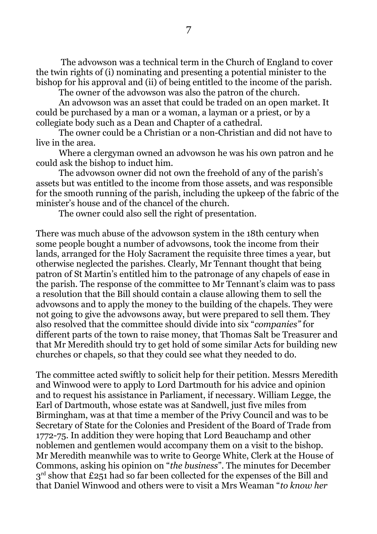The advowson was a technical term in the Church of England to cover the twin rights of (i) nominating and presenting a potential minister to the bishop for his approval and (ii) of being entitled to the income of the parish.

The owner of the advowson was also the patron of the church.

An advowson was an asset that could be traded on an open market. It could be purchased by a man or a woman, a layman or a priest, or by a collegiate body such as a Dean and Chapter of a cathedral.

The owner could be a Christian or a non-Christian and did not have to live in the area.

Where a clergyman owned an advowson he was his own patron and he could ask the bishop to induct him.

The advowson owner did not own the freehold of any of the parish's assets but was entitled to the income from those assets, and was responsible for the smooth running of the parish, including the upkeep of the fabric of the minister's house and of the chancel of the church.

The owner could also sell the right of presentation.

There was much abuse of the advowson system in the 18th century when some people bought a number of advowsons, took the income from their lands, arranged for the Holy Sacrament the requisite three times a year, but otherwise neglected the parishes. Clearly, Mr Tennant thought that being patron of St Martin's entitled him to the patronage of any chapels of ease in the parish. The response of the committee to Mr Tennant's claim was to pass a resolution that the Bill should contain a clause allowing them to sell the advowsons and to apply the money to the building of the chapels. They were not going to give the advowsons away, but were prepared to sell them. They also resolved that the committee should divide into six "*companies"* for different parts of the town to raise money, that Thomas Salt be Treasurer and that Mr Meredith should try to get hold of some similar Acts for building new churches or chapels, so that they could see what they needed to do.

The committee acted swiftly to solicit help for their petition. Messrs Meredith and Winwood were to apply to Lord Dartmouth for his advice and opinion and to request his assistance in Parliament, if necessary. William Legge, the Earl of Dartmouth, whose estate was at Sandwell, just five miles from Birmingham, was at that time a member of the Privy Council and was to be Secretary of State for the Colonies and President of the Board of Trade from 1772-75. In addition they were hoping that Lord Beauchamp and other noblemen and gentlemen would accompany them on a visit to the bishop. Mr Meredith meanwhile was to write to George White, Clerk at the House of Commons, asking his opinion on "*the business*". The minutes for December  $3<sup>rd</sup>$  show that £251 had so far been collected for the expenses of the Bill and that Daniel Winwood and others were to visit a Mrs Weaman "*to know her*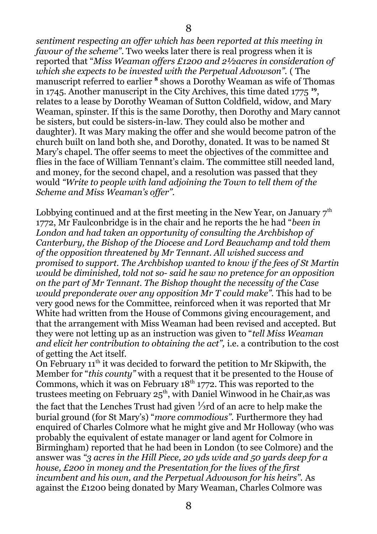*sentiment respecting an offer which has been reported at this meeting in favour of the scheme"*. Two weeks later there is real progress when it is reported that "*Miss Weaman offers £1200 and 2½acres in consideration of which she expects to be invested with the Perpetual Advowson".* ( The manuscript referred to earlier <sup>8</sup> shows a Dorothy Weaman as wife of Thomas in 1745. Another manuscript in the City Archives, this time dated 1775 **<sup>19</sup>** , relates to a lease by Dorothy Weaman of Sutton Coldfield, widow, and Mary Weaman, spinster. If this is the same Dorothy, then Dorothy and Mary cannot be sisters, but could be sisters-in-law. They could also be mother and daughter). It was Mary making the offer and she would become patron of the church built on land both she, and Dorothy, donated. It was to be named St Mary's chapel. The offer seems to meet the objectives of the committee and flies in the face of William Tennant's claim. The committee still needed land, and money, for the second chapel, and a resolution was passed that they would *"Write to people with land adjoining the Town to tell them of the Scheme and Miss Weaman's offer".*

Lobbying continued and at the first meeting in the New Year, on January  $7<sup>th</sup>$ 1772, Mr Faulconbridge is in the chair and he reports the he had "*been in London and had taken an opportunity of consulting the Archbishop of Canterbury, the Bishop of the Diocese and Lord Beauchamp and told them of the opposition threatened by Mr Tennant. All wished success and promised to support. The Archbishop wanted to know if the fees of St Martin would be diminished, told not so- said he saw no pretence for an opposition on the part of Mr Tennant. The Bishop thought the necessity of the Case would preponderate over any opposition Mr T could make".* This had to be very good news for the Committee, reinforced when it was reported that Mr White had written from the House of Commons giving encouragement, and that the arrangement with Miss Weaman had been revised and accepted. But they were not letting up as an instruction was given to "*tell Miss Weaman and elicit her contribution to obtaining the act",* i.e. a contribution to the cost of getting the Act itself.

On February  $11<sup>th</sup>$  it was decided to forward the petition to Mr Skipwith, the Member for "*this county"* with a request that it be presented to the House of Commons, which it was on February  $18<sup>th</sup> 1772$ . This was reported to the trustees meeting on February  $25<sup>th</sup>$ , with Daniel Winwood in he Chair, as was the fact that the Lenches Trust had given ⅓rd of an acre to help make the burial ground (for St Mary's) "*more commodious".* Furthermore they had enquired of Charles Colmore what he might give and Mr Holloway (who was probably the equivalent of estate manager or land agent for Colmore in Birmingham) reported that he had been in London (to see Colmore) and the answer was *"3 acres in the Hill Piece, 20 yds wide and 50 yards deep for a house, £200 in money and the Presentation for the lives of the first incumbent and his own, and the Perpetual Advowson for his heirs".* As against the £1200 being donated by Mary Weaman, Charles Colmore was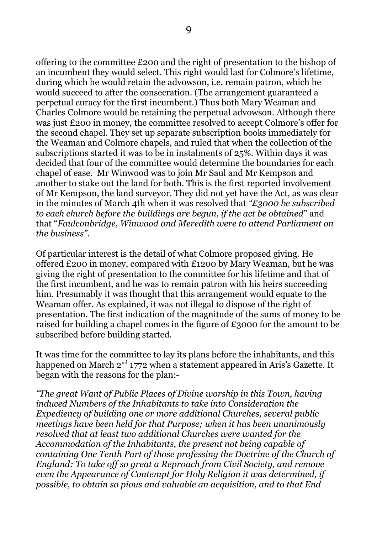offering to the committee £200 and the right of presentation to the bishop of an incumbent they would select. This right would last for Colmore's lifetime, during which he would retain the advowson, i.e. remain patron, which he would succeed to after the consecration. (The arrangement guaranteed a perpetual curacy for the first incumbent.) Thus both Mary Weaman and Charles Colmore would be retaining the perpetual advowson. Although there was just £200 in money, the committee resolved to accept Colmore's offer for the second chapel. They set up separate subscription books immediately for the Weaman and Colmore chapels, and ruled that when the collection of the subscriptions started it was to be in instalments of 25%. Within days it was decided that four of the committee would determine the boundaries for each chapel of ease. Mr Winwood was to join Mr Saul and Mr Kempson and another to stake out the land for both. This is the first reported involvement of Mr Kempson, the land surveyor. They did not yet have the Act, as was clear in the minutes of March 4th when it was resolved that *"£3000 be subscribed to each church before the buildings are begun, if the act be obtained*" and that "*Faulconbridge, Winwood and Meredith were to attend Parliament on the business".*

Of particular interest is the detail of what Colmore proposed giving. He offered £200 in money, compared with £1200 by Mary Weaman, but he was giving the right of presentation to the committee for his lifetime and that of the first incumbent, and he was to remain patron with his heirs succeeding him. Presumably it was thought that this arrangement would equate to the Weaman offer. As explained, it was not illegal to dispose of the right of presentation. The first indication of the magnitude of the sums of money to be raised for building a chapel comes in the figure of £3000 for the amount to be subscribed before building started.

It was time for the committee to lay its plans before the inhabitants, and this happened on March 2<sup>nd</sup> 1772 when a statement appeared in Aris's Gazette. It began with the reasons for the plan:-

*"The great Want of Public Places of Divine worship in this Town, having induced Numbers of the Inhabitants to take into Consideration the Expediency of building one or more additional Churches, several public meetings have been held for that Purpose; when it has been unanimously resolved that at least two additional Churches were wanted for the Accommodation of the Inhabitants, the present not being capable of containing One Tenth Part of those professing the Doctrine of the Church of England: To take off so great a Reproach from Civil Society, and remove even the Appearance of Contempt for Holy Religion it was determined, if possible, to obtain so pious and valuable an acquisition, and to that End*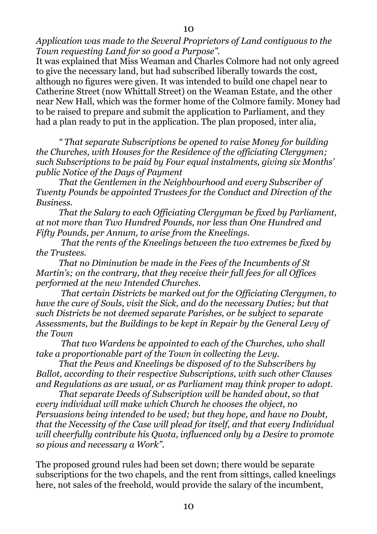*Application was made to the Several Proprietors of Land contiguous to the Town requesting Land for so good a Purpose".*

It was explained that Miss Weaman and Charles Colmore had not only agreed to give the necessary land, but had subscribed liberally towards the cost, although no figures were given. It was intended to build one chapel near to Catherine Street (now Whittall Street) on the Weaman Estate, and the other near New Hall, which was the former home of the Colmore family. Money had to be raised to prepare and submit the application to Parliament, and they had a plan ready to put in the application. The plan proposed, inter alia,

*" That separate Subscriptions be opened to raise Money for building the Churches, with Houses for the Residence of the officiating Clergymen; such Subscriptions to be paid by Four equal instalments, giving six Months' public Notice of the Days of Payment*

*That the Gentlemen in the Neighbourhood and every Subscriber of Twenty Pounds be appointed Trustees for the Conduct and Direction of the Business.*

*That the Salary to each Officiating Clergyman be fixed by Parliament, at not more than Two Hundred Pounds, nor less than One Hundred and Fifty Pounds, per Annum, to arise from the Kneelings.*

 *That the rents of the Kneelings between the two extremes be fixed by the Trustees.*

*That no Diminution be made in the Fees of the Incumbents of St Martin's; on the contrary, that they receive their full fees for all Offices performed at the new Intended Churches.*

 *That certain Districts be marked out for the Officiating Clergymen, to have the cure of Souls, visit the Sick, and do the necessary Duties; but that such Districts be not deemed separate Parishes, or be subject to separate Assessments, but the Buildings to be kept in Repair by the General Levy of the Town*

 *That two Wardens be appointed to each of the Churches, who shall take a proportionable part of the Town in collecting the Levy.*

*That the Pews and Kneelings be disposed of to the Subscribers by Ballot, according to their respective Subscriptions, with such other Clauses and Regulations as are usual, or as Parliament may think proper to adopt.*

*That separate Deeds of Subscription will be handed about, so that every individual will make which Church he chooses the object, no Persuasions being intended to be used; but they hope, and have no Doubt, that the Necessity of the Case will plead for itself, and that every Individual will cheerfully contribute his Quota, influenced only by a Desire to promote so pious and necessary a Work".*

The proposed ground rules had been set down; there would be separate subscriptions for the two chapels, and the rent from sittings, called kneelings here, not sales of the freehold, would provide the salary of the incumbent,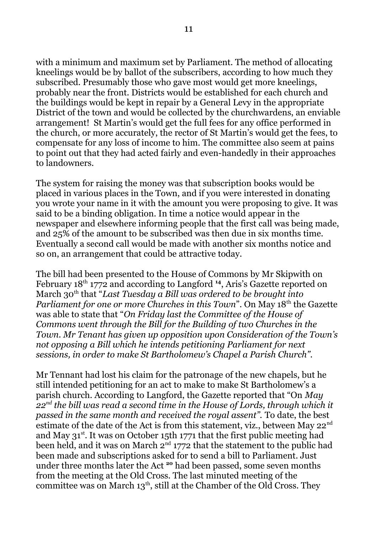with a minimum and maximum set by Parliament. The method of allocating kneelings would be by ballot of the subscribers, according to how much they subscribed. Presumably those who gave most would get more kneelings, probably near the front. Districts would be established for each church and the buildings would be kept in repair by a General Levy in the appropriate District of the town and would be collected by the churchwardens, an enviable arrangement! St Martin's would get the full fees for any office performed in the church, or more accurately, the rector of St Martin's would get the fees, to compensate for any loss of income to him. The committee also seem at pains to point out that they had acted fairly and even-handedly in their approaches to landowners.

The system for raising the money was that subscription books would be placed in various places in the Town, and if you were interested in donating you wrote your name in it with the amount you were proposing to give. It was said to be a binding obligation. In time a notice would appear in the newspaper and elsewhere informing people that the first call was being made, and 25% of the amount to be subscribed was then due in six months time. Eventually a second call would be made with another six months notice and so on, an arrangement that could be attractive today.

The bill had been presented to the House of Commons by Mr Skipwith on February 18th 1772 and according to Langford **<sup>14</sup>**, Aris's Gazette reported on March 30th that "*Last Tuesday a Bill was ordered to be brought into Parliament for one or more Churches in this Town*". On May 18<sup>th</sup> the Gazette was able to state that "*On Friday last the Committee of the House of Commons went through the Bill for the Building of two Churches in the Town. Mr Tenant has given up opposition upon Consideration of the Town's not opposing a Bill which he intends petitioning Parliament for next sessions, in order to make St Bartholomew's Chapel a Parish Church".*

Mr Tennant had lost his claim for the patronage of the new chapels, but he still intended petitioning for an act to make to make St Bartholomew's a parish church. According to Langford, the Gazette reported that "On *May 22nd the bill was read a second time in the House of Lords, through which it passed in the same month and received the royal assent".* To date, the best estimate of the date of the Act is from this statement, viz., between May 22<sup>nd</sup> and May  $31^{st}$ . It was on October 15th 1771 that the first public meeting had been held, and it was on March  $2<sup>nd</sup> 1772$  that the statement to the public had been made and subscriptions asked for to send a bill to Parliament. Just under three months later the Act **<sup>20</sup>** had been passed, some seven months from the meeting at the Old Cross. The last minuted meeting of the committee was on March  $13<sup>th</sup>$ , still at the Chamber of the Old Cross. They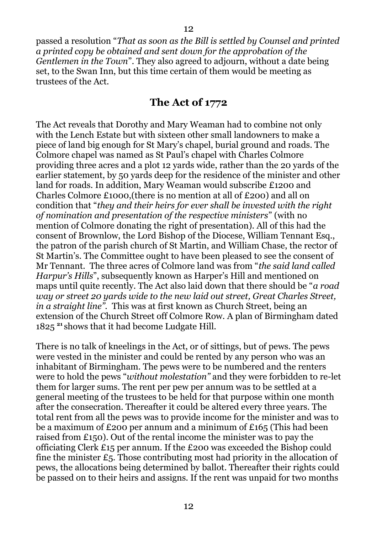passed a resolution "*That as soon as the Bill is settled by Counsel and printed a printed copy be obtained and sent down for the approbation of the Gentlemen in the Town*". They also agreed to adjourn, without a date being set, to the Swan Inn, but this time certain of them would be meeting as trustees of the Act.

#### <span id="page-11-0"></span>**The Act of 1772**

The Act reveals that Dorothy and Mary Weaman had to combine not only with the Lench Estate but with sixteen other small landowners to make a piece of land big enough for St Mary's chapel, burial ground and roads. The Colmore chapel was named as St Paul's chapel with Charles Colmore providing three acres and a plot 12 yards wide, rather than the 20 yards of the earlier statement, by 50 yards deep for the residence of the minister and other land for roads. In addition, Mary Weaman would subscribe £1200 and Charles Colmore £1000,(there is no mention at all of £200) and all on condition that "*they and their heirs for ever shall be invested with the right of nomination and presentation of the respective ministers*" (with no mention of Colmore donating the right of presentation). All of this had the consent of Brownlow, the Lord Bishop of the Diocese, William Tennant Esq., the patron of the parish church of St Martin, and William Chase, the rector of St Martin's. The Committee ought to have been pleased to see the consent of Mr Tennant. The three acres of Colmore land was from "*the said land called Harpur's Hills*", subsequently known as Harper's Hill and mentioned on maps until quite recently. The Act also laid down that there should be "*a road way or street 20 yards wide to the new laid out street, Great Charles Street, in a straight line".* This was at first known as Church Street, being an extension of the Church Street off Colmore Row. A plan of Birmingham dated 1825 **<sup>21</sup>**shows that it had become Ludgate Hill.

There is no talk of kneelings in the Act, or of sittings, but of pews. The pews were vested in the minister and could be rented by any person who was an inhabitant of Birmingham. The pews were to be numbered and the renters were to hold the pews "*without molestation"* and they were forbidden to re-let them for larger sums. The rent per pew per annum was to be settled at a general meeting of the trustees to be held for that purpose within one month after the consecration. Thereafter it could be altered every three years. The total rent from all the pews was to provide income for the minister and was to be a maximum of £200 per annum and a minimum of £165 (This had been raised from £150). Out of the rental income the minister was to pay the officiating Clerk £15 per annum. If the £200 was exceeded the Bishop could fine the minister  $E_5$ . Those contributing most had priority in the allocation of pews, the allocations being determined by ballot. Thereafter their rights could be passed on to their heirs and assigns. If the rent was unpaid for two months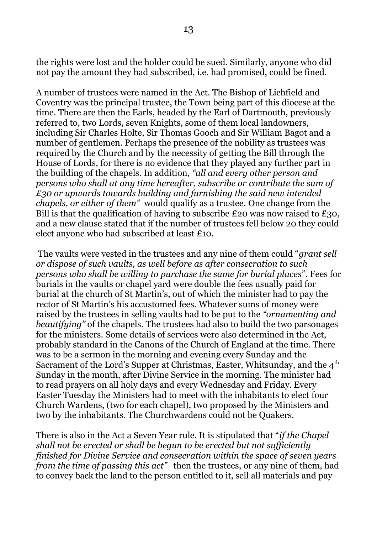the rights were lost and the holder could be sued. Similarly, anyone who did not pay the amount they had subscribed, i.e. had promised, could be fined.

A number of trustees were named in the Act. The Bishop of Lichfield and Coventry was the principal trustee, the Town being part of this diocese at the time. There are then the Earls, headed by the Earl of Dartmouth, previously referred to, two Lords, seven Knights, some of them local landowners, including Sir Charles Holte, Sir Thomas Gooch and Sir William Bagot and a number of gentlemen. Perhaps the presence of the nobility as trustees was required by the Church and by the necessity of getting the Bill through the House of Lords, for there is no evidence that they played any further part in the building of the chapels. In addition, *"all and every other person and persons who shall at any time hereafter, subscribe or contribute the sum of £30 or upwards towards building and furnishing the said new intended chapels, or either of them"* would qualify as a trustee*.* One change from the Bill is that the qualification of having to subscribe £20 was now raised to £30, and a new clause stated that if the number of trustees fell below 20 they could elect anyone who had subscribed at least £10.

 The vaults were vested in the trustees and any nine of them could "*grant sell or dispose of such vaults, as well before as after consecration to such persons who shall be willing to purchase the same for burial places*". Fees for burials in the vaults or chapel yard were double the fees usually paid for burial at the church of St Martin's, out of which the minister had to pay the rector of St Martin's his accustomed fees. Whatever sums of money were raised by the trustees in selling vaults had to be put to the *"ornamenting and beautifying"* of the chapels. The trustees had also to build the two parsonages for the ministers. Some details of services were also determined in the Act, probably standard in the Canons of the Church of England at the time. There was to be a sermon in the morning and evening every Sunday and the Sacrament of the Lord's Supper at Christmas, Easter, Whitsunday, and the  $4<sup>th</sup>$ Sunday in the month, after Divine Service in the morning. The minister had to read prayers on all holy days and every Wednesday and Friday. Every Easter Tuesday the Ministers had to meet with the inhabitants to elect four Church Wardens, (two for each chapel), two proposed by the Ministers and two by the inhabitants. The Churchwardens could not be Quakers.

There is also in the Act a Seven Year rule. It is stipulated that "*if the Chapel shall not be erected or shall be begun to be erected but not sufficiently finished for Divine Service and consecration within the space of seven years from the time of passing this act"* then the trustees, or any nine of them, had to convey back the land to the person entitled to it, sell all materials and pay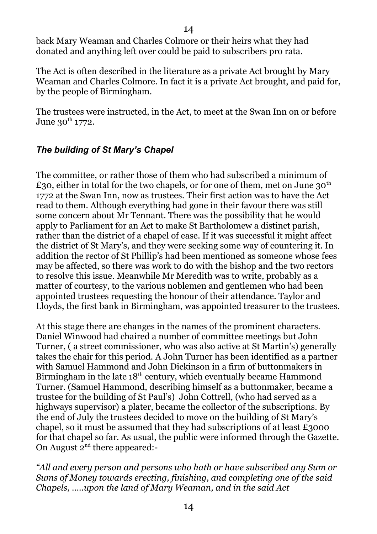14

back Mary Weaman and Charles Colmore or their heirs what they had donated and anything left over could be paid to subscribers pro rata.

The Act is often described in the literature as a private Act brought by Mary Weaman and Charles Colmore. In fact it is a private Act brought, and paid for, by the people of Birmingham.

The trustees were instructed, in the Act, to meet at the Swan Inn on or before June  $30^{th}$  1772.

## <span id="page-13-0"></span>*The building of St Mary's Chapel*

The committee, or rather those of them who had subscribed a minimum of £30, either in total for the two chapels, or for one of them, met on June 30<sup>th</sup> 1772 at the Swan Inn, now as trustees. Their first action was to have the Act read to them. Although everything had gone in their favour there was still some concern about Mr Tennant. There was the possibility that he would apply to Parliament for an Act to make St Bartholomew a distinct parish, rather than the district of a chapel of ease. If it was successful it might affect the district of St Mary's, and they were seeking some way of countering it. In addition the rector of St Phillip's had been mentioned as someone whose fees may be affected, so there was work to do with the bishop and the two rectors to resolve this issue. Meanwhile Mr Meredith was to write, probably as a matter of courtesy, to the various noblemen and gentlemen who had been appointed trustees requesting the honour of their attendance. Taylor and Lloyds, the first bank in Birmingham, was appointed treasurer to the trustees.

At this stage there are changes in the names of the prominent characters. Daniel Winwood had chaired a number of committee meetings but John Turner, ( a street commissioner, who was also active at St Martin's) generally takes the chair for this period. A John Turner has been identified as a partner with Samuel Hammond and John Dickinson in a firm of buttonmakers in Birmingham in the late  $18<sup>th</sup>$  century, which eventually became Hammond Turner. (Samuel Hammond, describing himself as a buttonmaker, became a trustee for the building of St Paul's) John Cottrell, (who had served as a highways supervisor) a plater, became the collector of the subscriptions. By the end of July the trustees decided to move on the building of St Mary's chapel, so it must be assumed that they had subscriptions of at least £3000 for that chapel so far. As usual, the public were informed through the Gazette. On August  $2^{nd}$  there appeared:-

*"All and every person and persons who hath or have subscribed any Sum or Sums of Money towards erecting, finishing, and completing one of the said Chapels, …..upon the land of Mary Weaman, and in the said Act*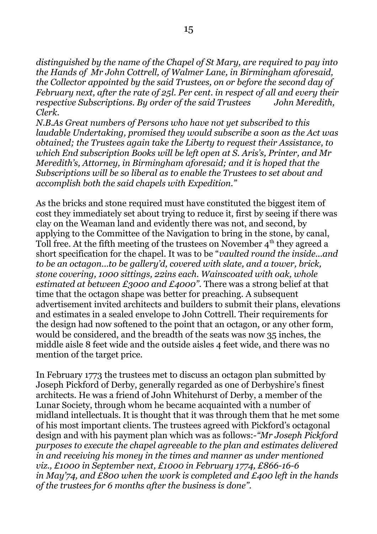*distinguished by the name of the Chapel of St Mary, are required to pay into the Hands of Mr John Cottrell, of Walmer Lane, in Birmingham aforesaid, the Collector appointed by the said Trustees, on or before the second day of February next, after the rate of 25l. Per cent. in respect of all and every their respective Subscriptions. By order of the said Trustees John Meredith, Clerk.*

*N.B.As Great numbers of Persons who have not yet subscribed to this laudable Undertaking, promised they would subscribe a soon as the Act was obtained; the Trustees again take the Liberty to request their Assistance, to which End subscription Books will be left open at S. Aris's, Printer, and Mr Meredith's, Attorney, in Birmingham aforesaid; and it is hoped that the Subscriptions will be so liberal as to enable the Trustees to set about and accomplish both the said chapels with Expedition."*

As the bricks and stone required must have constituted the biggest item of cost they immediately set about trying to reduce it, first by seeing if there was clay on the Weaman land and evidently there was not, and second, by applying to the Committee of the Navigation to bring in the stone, by canal, Toll free. At the fifth meeting of the trustees on November  $4<sup>th</sup>$  they agreed a short specification for the chapel. It was to be "*vaulted round the inside...and to be an octagon…to be gallery'd, covered with slate, and a tower, brick, stone covering, 1000 sittings, 22ins each. Wainscoated with oak, whole estimated at between £3000 and £4000".* There was a strong belief at that time that the octagon shape was better for preaching. A subsequent advertisement invited architects and builders to submit their plans, elevations and estimates in a sealed envelope to John Cottrell. Their requirements for the design had now softened to the point that an octagon, or any other form, would be considered, and the breadth of the seats was now 35 inches, the middle aisle 8 feet wide and the outside aisles 4 feet wide, and there was no mention of the target price.

In February 1773 the trustees met to discuss an octagon plan submitted by Joseph Pickford of Derby, generally regarded as one of Derbyshire's finest architects. He was a friend of John Whitehurst of Derby, a member of the Lunar Society, through whom he became acquainted with a number of midland intellectuals. It is thought that it was through them that he met some of his most important clients. The trustees agreed with Pickford's octagonal design and with his payment plan which was as follows:-*"Mr Joseph Pickford purposes to execute the chapel agreeable to the plan and estimates delivered in and receiving his money in the times and manner as under mentioned viz., £1000 in September next, £1000 in February 1774, £866-16-6 in May'74, and £800 when the work is completed and £400 left in the hands of the trustees for 6 months after the business is done".*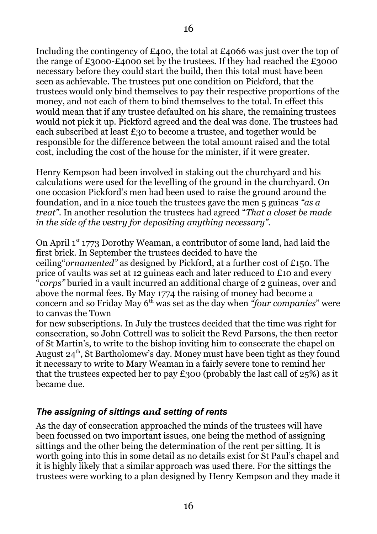Including the contingency of £400, the total at £4066 was just over the top of the range of £3000-£4000 set by the trustees. If they had reached the £3000 necessary before they could start the build, then this total must have been seen as achievable. The trustees put one condition on Pickford, that the trustees would only bind themselves to pay their respective proportions of the money, and not each of them to bind themselves to the total. In effect this would mean that if any trustee defaulted on his share, the remaining trustees would not pick it up. Pickford agreed and the deal was done. The trustees had each subscribed at least £30 to become a trustee, and together would be responsible for the difference between the total amount raised and the total cost, including the cost of the house for the minister, if it were greater.

Henry Kempson had been involved in staking out the churchyard and his calculations were used for the levelling of the ground in the churchyard. On one occasion Pickford's men had been used to raise the ground around the foundation, and in a nice touch the trustees gave the men 5 guineas *"as a treat"*. In another resolution the trustees had agreed "*That a closet be made in the side of the vestry for depositing anything necessary".*

On April 1st 1773 Dorothy Weaman, a contributor of some land, had laid the first brick. In September the trustees decided to have the ceiling"*ornamented"* as designed by Pickford, at a further cost of £150. The price of vaults was set at 12 guineas each and later reduced to £10 and every "*corps"* buried in a vault incurred an additional charge of 2 guineas, over and above the normal fees. By May 1774 the raising of money had become a concern and so Friday May 6th was set as the day when *"four companies*" were to canvas the Town

for new subscriptions. In July the trustees decided that the time was right for consecration, so John Cottrell was to solicit the Revd Parsons, the then rector of St Martin's, to write to the bishop inviting him to consecrate the chapel on August  $24<sup>th</sup>$ , St Bartholomew's day. Money must have been tight as they found it necessary to write to Mary Weaman in a fairly severe tone to remind her that the trustees expected her to pay £300 (probably the last call of 25%) as it became due.

## <span id="page-15-0"></span>*The assigning of sittings and setting of rents*

As the day of consecration approached the minds of the trustees will have been focussed on two important issues, one being the method of assigning sittings and the other being the determination of the rent per sitting. It is worth going into this in some detail as no details exist for St Paul's chapel and it is highly likely that a similar approach was used there. For the sittings the trustees were working to a plan designed by Henry Kempson and they made it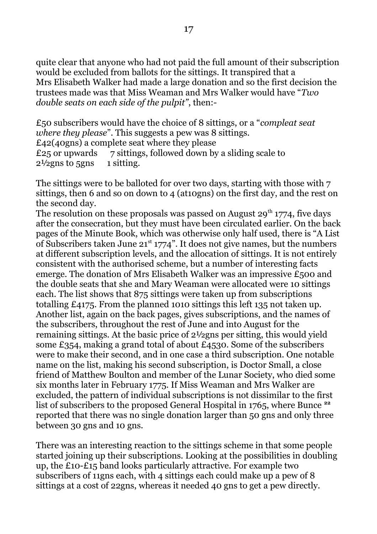quite clear that anyone who had not paid the full amount of their subscription would be excluded from ballots for the sittings. It transpired that a Mrs Elisabeth Walker had made a large donation and so the first decision the trustees made was that Miss Weaman and Mrs Walker would have "*Two double seats on each side of the pulpit"*, then:-

£50 subscribers would have the choice of 8 sittings, or a "*compleat seat where they please*". This suggests a pew was 8 sittings. £42(40gns) a complete seat where they please  $£25$  or upwards  $7$  sittings, followed down by a sliding scale to  $2\frac{1}{2}$ gns to 5gns 1 sitting.

The sittings were to be balloted for over two days, starting with those with 7 sittings, then 6 and so on down to 4 (at10gns) on the first day, and the rest on the second day.

The resolution on these proposals was passed on August 29<sup>th</sup> 1774, five days after the consecration, but they must have been circulated earlier. On the back pages of the Minute Book, which was otherwise only half used, there is "A List of Subscribers taken June  $21^{st}$  1774". It does not give names, but the numbers at different subscription levels, and the allocation of sittings. It is not entirely consistent with the authorised scheme, but a number of interesting facts emerge. The donation of Mrs Elisabeth Walker was an impressive £500 and the double seats that she and Mary Weaman were allocated were 10 sittings each. The list shows that 875 sittings were taken up from subscriptions totalling £4175. From the planned 1010 sittings this left 135 not taken up. Another list, again on the back pages, gives subscriptions, and the names of the subscribers, throughout the rest of June and into August for the remaining sittings. At the basic price of 2½gns per sitting, this would yield some £354, making a grand total of about £4530. Some of the subscribers were to make their second, and in one case a third subscription. One notable name on the list, making his second subscription, is Doctor Small, a close friend of Matthew Boulton and member of the Lunar Society, who died some six months later in February 1775. If Miss Weaman and Mrs Walker are excluded, the pattern of individual subscriptions is not dissimilar to the first list of subscribers to the proposed General Hospital in 1765, where Bunce **<sup>22</sup>** reported that there was no single donation larger than 50 gns and only three between 30 gns and 10 gns.

There was an interesting reaction to the sittings scheme in that some people started joining up their subscriptions. Looking at the possibilities in doubling up, the £10-£15 band looks particularly attractive. For example two subscribers of 11gns each, with 4 sittings each could make up a pew of 8 sittings at a cost of 22gns, whereas it needed 40 gns to get a pew directly.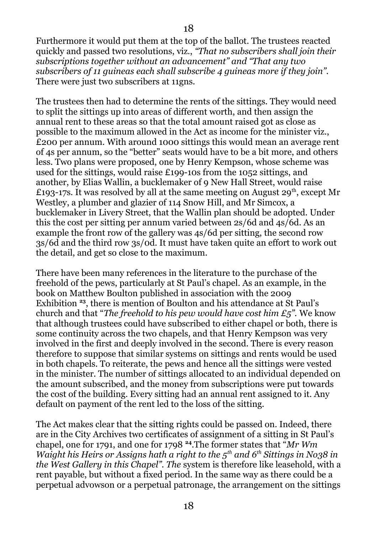Furthermore it would put them at the top of the ballot. The trustees reacted quickly and passed two resolutions, viz., *"That no subscribers shall join their subscriptions together without an advancement" and "That any two subscribers of 11 guineas each shall subscribe 4 guineas more if they join".* There were just two subscribers at 11gns.

The trustees then had to determine the rents of the sittings. They would need to split the sittings up into areas of different worth, and then assign the annual rent to these areas so that the total amount raised got as close as possible to the maximum allowed in the Act as income for the minister viz., £200 per annum. With around 1000 sittings this would mean an average rent of 4s per annum, so the "better" seats would have to be a bit more, and others less. Two plans were proposed, one by Henry Kempson, whose scheme was used for the sittings, would raise £199-10s from the 1052 sittings, and another, by Elias Wallin, a bucklemaker of 9 New Hall Street, would raise £193-17s. It was resolved by all at the same meeting on August 29<sup>th</sup>, except Mr Westley, a plumber and glazier of 114 Snow Hill, and Mr Simcox, a bucklemaker in Livery Street, that the Wallin plan should be adopted. Under this the cost per sitting per annum varied between 2s/6d and 4s/6d. As an example the front row of the gallery was 4s/6d per sitting, the second row 3s/6d and the third row 3s/0d. It must have taken quite an effort to work out the detail, and get so close to the maximum.

There have been many references in the literature to the purchase of the freehold of the pews, particularly at St Paul's chapel. As an example, in the book on Matthew Boulton published in association with the 2009 Exhibition **<sup>23</sup>**, there is mention of Boulton and his attendance at St Paul's church and that "*The freehold to his pew would have cost him £5".* We know that although trustees could have subscribed to either chapel or both, there is some continuity across the two chapels, and that Henry Kempson was very involved in the first and deeply involved in the second. There is every reason therefore to suppose that similar systems on sittings and rents would be used in both chapels. To reiterate, the pews and hence all the sittings were vested in the minister. The number of sittings allocated to an individual depended on the amount subscribed, and the money from subscriptions were put towards the cost of the building. Every sitting had an annual rent assigned to it. Any default on payment of the rent led to the loss of the sitting.

The Act makes clear that the sitting rights could be passed on. Indeed, there are in the City Archives two certificates of assignment of a sitting in St Paul's chapel, one for 1791, and one for 1798 **<sup>24</sup>**.The former states that "*Mr Wm Waight his Heirs or Assigns hath a right to the 5th and 6th Sittings in No38 in the West Gallery in this Chapel". The* system is therefore like leasehold, with a rent payable, but without a fixed period. In the same way as there could be a perpetual advowson or a perpetual patronage, the arrangement on the sittings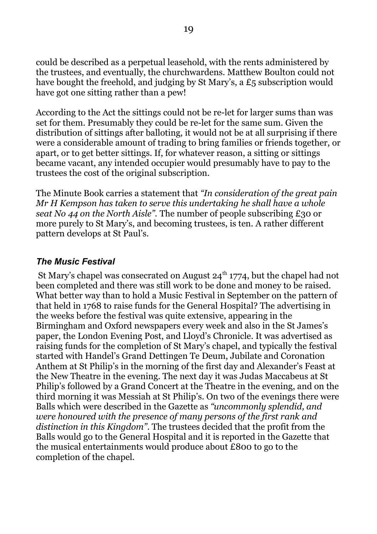could be described as a perpetual leasehold, with the rents administered by the trustees, and eventually, the churchwardens. Matthew Boulton could not have bought the freehold, and judging by St Mary's, a £5 subscription would have got one sitting rather than a pew!

According to the Act the sittings could not be re-let for larger sums than was set for them. Presumably they could be re-let for the same sum. Given the distribution of sittings after balloting, it would not be at all surprising if there were a considerable amount of trading to bring families or friends together, or apart, or to get better sittings. If, for whatever reason, a sitting or sittings became vacant, any intended occupier would presumably have to pay to the trustees the cost of the original subscription.

The Minute Book carries a statement that *"In consideration of the great pain Mr H Kempson has taken to serve this undertaking he shall have a whole seat No 44 on the North Aisle".* The number of people subscribing £30 or more purely to St Mary's, and becoming trustees, is ten. A rather different pattern develops at St Paul's.

#### <span id="page-18-0"></span>*The Music Festival*

St Mary's chapel was consecrated on August  $24<sup>th</sup> 1774$ , but the chapel had not been completed and there was still work to be done and money to be raised. What better way than to hold a Music Festival in September on the pattern of that held in 1768 to raise funds for the General Hospital? The advertising in the weeks before the festival was quite extensive, appearing in the Birmingham and Oxford newspapers every week and also in the St James's paper, the London Evening Post, and Lloyd's Chronicle. It was advertised as raising funds for the completion of St Mary's chapel, and typically the festival started with Handel's Grand Dettingen Te Deum, Jubilate and Coronation Anthem at St Philip's in the morning of the first day and Alexander's Feast at the New Theatre in the evening. The next day it was Judas Maccabeus at St Philip's followed by a Grand Concert at the Theatre in the evening, and on the third morning it was Messiah at St Philip's. On two of the evenings there were Balls which were described in the Gazette as *"uncommonly splendid, and were honoured with the presence of many persons of the first rank and distinction in this Kingdom"*. The trustees decided that the profit from the Balls would go to the General Hospital and it is reported in the Gazette that the musical entertainments would produce about £800 to go to the completion of the chapel.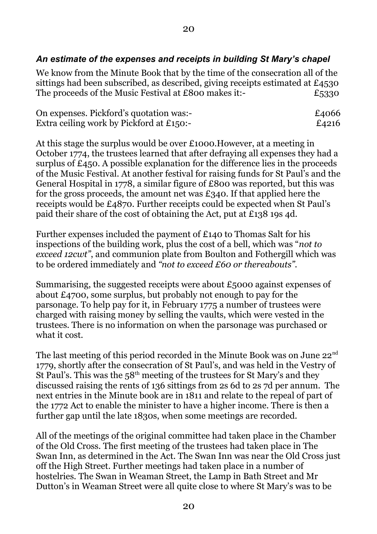## <span id="page-19-0"></span>*An estimate of the expenses and receipts in building St Mary's chapel*

We know from the Minute Book that by the time of the consecration all of the sittings had been subscribed, as described, giving receipts estimated at £4530 The proceeds of the Music Festival at £800 makes it:- $\epsilon$ 5330

| On expenses. Pickford's quotation was:-  | £4066 |
|------------------------------------------|-------|
| Extra ceiling work by Pickford at £150:- | £4216 |

At this stage the surplus would be over £1000.However, at a meeting in October 1774, the trustees learned that after defraying all expenses they had a surplus of £450. A possible explanation for the difference lies in the proceeds of the Music Festival. At another festival for raising funds for St Paul's and the General Hospital in 1778, a similar figure of £800 was reported, but this was for the gross proceeds, the amount net was  $\pounds$ 340. If that applied here the receipts would be £4870. Further receipts could be expected when St Paul's paid their share of the cost of obtaining the Act, put at £138 19s 4d.

Further expenses included the payment of £140 to Thomas Salt for his inspections of the building work, plus the cost of a bell, which was "*not to exceed 12cwt"*, and communion plate from Boulton and Fothergill which was to be ordered immediately and *"not to exceed £60 or thereabouts".*

Summarising, the suggested receipts were about £5000 against expenses of about £4700, some surplus, but probably not enough to pay for the parsonage. To help pay for it, in February 1775 a number of trustees were charged with raising money by selling the vaults, which were vested in the trustees. There is no information on when the parsonage was purchased or what it cost.

The last meeting of this period recorded in the Minute Book was on June  $22^{nd}$ 1779, shortly after the consecration of St Paul's, and was held in the Vestry of St Paul's. This was the  $58<sup>th</sup>$  meeting of the trustees for St Mary's and they discussed raising the rents of 136 sittings from 2s 6d to 2s 7d per annum. The next entries in the Minute book are in 1811 and relate to the repeal of part of the 1772 Act to enable the minister to have a higher income. There is then a further gap until the late 1830s, when some meetings are recorded.

All of the meetings of the original committee had taken place in the Chamber of the Old Cross. The first meeting of the trustees had taken place in The Swan Inn, as determined in the Act. The Swan Inn was near the Old Cross just off the High Street. Further meetings had taken place in a number of hostelries. The Swan in Weaman Street, the Lamp in Bath Street and Mr Dutton's in Weaman Street were all quite close to where St Mary's was to be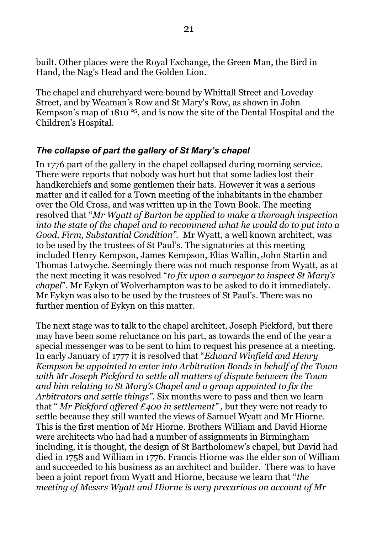built. Other places were the Royal Exchange, the Green Man, the Bird in Hand, the Nag's Head and the Golden Lion.

The chapel and churchyard were bound by Whittall Street and Loveday Street, and by Weaman's Row and St Mary's Row, as shown in John Kempson's map of 1810 **<sup>25</sup>**, and is now the site of the Dental Hospital and the Children's Hospital.

#### <span id="page-20-0"></span>*The collapse of part the gallery of St Mary's chapel*

In 1776 part of the gallery in the chapel collapsed during morning service. There were reports that nobody was hurt but that some ladies lost their handkerchiefs and some gentlemen their hats. However it was a serious matter and it called for a Town meeting of the inhabitants in the chamber over the Old Cross, and was written up in the Town Book. The meeting resolved that "*Mr Wyatt of Burton be applied to make a thorough inspection into the state of the chapel and to recommend what he would do to put into a Good, Firm, Substantial Condition".* Mr Wyatt, a well known architect, was to be used by the trustees of St Paul's. The signatories at this meeting included Henry Kempson, James Kempson, Elias Wallin, John Startin and Thomas Lutwyche. Seemingly there was not much response from Wyatt, as at the next meeting it was resolved "*to fix upon a surveyor to inspect St Mary's chapel*". Mr Eykyn of Wolverhampton was to be asked to do it immediately. Mr Eykyn was also to be used by the trustees of St Paul's. There was no further mention of Eykyn on this matter.

The next stage was to talk to the chapel architect, Joseph Pickford, but there may have been some reluctance on his part, as towards the end of the year a special messenger was to be sent to him to request his presence at a meeting. In early January of 1777 it is resolved that "*Edward Winfield and Henry Kempson be appointed to enter into Arbitration Bonds in behalf of the Town with Mr Joseph Pickford to settle all matters of dispute between the Town and him relating to St Mary's Chapel and a group appointed to fix the Arbitrators and settle things".* Six months were to pass and then we learn that " *Mr Pickford offered £400 in settlement" ,* but they were not ready to settle because they still wanted the views of Samuel Wyatt and Mr Hiorne. This is the first mention of Mr Hiorne. Brothers William and David Hiorne were architects who had had a number of assignments in Birmingham including, it is thought, the design of St Bartholomew's chapel, but David had died in 1758 and William in 1776. Francis Hiorne was the elder son of William and succeeded to his business as an architect and builder. There was to have been a joint report from Wyatt and Hiorne, because we learn that "*the meeting of Messrs Wyatt and Hiorne is very precarious on account of Mr*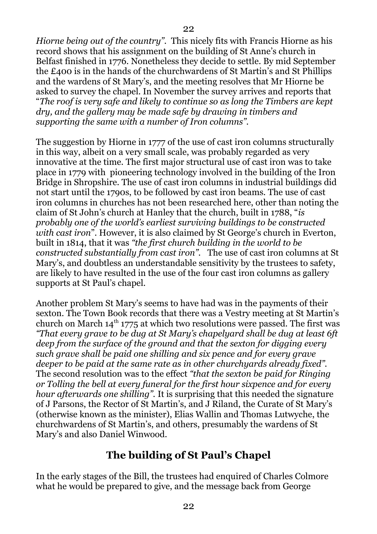*Hiorne being out of the country".* This nicely fits with Francis Hiorne as his record shows that his assignment on the building of St Anne's church in Belfast finished in 1776. Nonetheless they decide to settle. By mid September the £400 is in the hands of the churchwardens of St Martin's and St Phillips and the wardens of St Mary's, and the meeting resolves that Mr Hiorne be asked to survey the chapel. In November the survey arrives and reports that "*The roof is very safe and likely to continue so as long the Timbers are kept dry, and the gallery may be made safe by drawing in timbers and supporting the same with a number of Iron columns".*

The suggestion by Hiorne in 1777 of the use of cast iron columns structurally in this way, albeit on a very small scale, was probably regarded as very innovative at the time. The first major structural use of cast iron was to take place in 1779 with pioneering technology involved in the building of the Iron Bridge in Shropshire. The use of cast iron columns in industrial buildings did not start until the 1790s, to be followed by cast iron beams. The use of cast iron columns in churches has not been researched here, other than noting the claim of St John's church at Hanley that the church, built in 1788, "*is probably one of the world's earliest surviving buildings to be constructed with cast iron*". However, it is also claimed by St George's church in Everton, built in 1814, that it was *"the first church building in the world to be constructed substantially from cast iron".* The use of cast iron columns at St Mary's, and doubtless an understandable sensitivity by the trustees to safety, are likely to have resulted in the use of the four cast iron columns as gallery supports at St Paul's chapel.

Another problem St Mary's seems to have had was in the payments of their sexton. The Town Book records that there was a Vestry meeting at St Martin's church on March  $14<sup>th</sup> 1775$  at which two resolutions were passed. The first was *"That every grave to be dug at St Mary's chapelyard shall be dug at least 6ft deep from the surface of the ground and that the sexton for digging every such grave shall be paid one shilling and six pence and for every grave deeper to be paid at the same rate as in other churchyards already fixed".*  The second resolution was to the effect *"that the sexton be paid for Ringing or Tolling the bell at every funeral for the first hour sixpence and for every hour afterwards one shilling".* It is surprising that this needed the signature of J Parsons, the Rector of St Martin's, and J Riland, the Curate of St Mary's (otherwise known as the minister), Elias Wallin and Thomas Lutwyche, the churchwardens of St Martin's, and others, presumably the wardens of St Mary's and also Daniel Winwood.

## <span id="page-21-0"></span>**The building of St Paul's Chapel**

In the early stages of the Bill, the trustees had enquired of Charles Colmore what he would be prepared to give, and the message back from George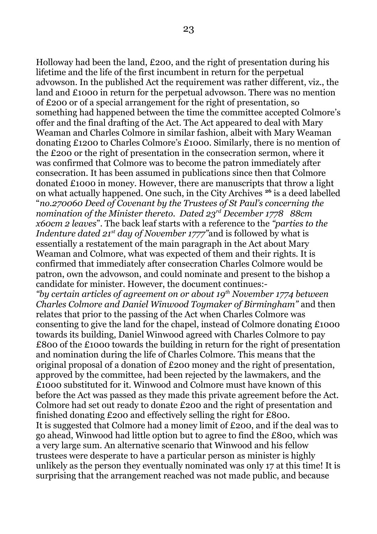Holloway had been the land, £200, and the right of presentation during his lifetime and the life of the first incumbent in return for the perpetual advowson. In the published Act the requirement was rather different, viz., the land and £1000 in return for the perpetual advowson. There was no mention of £200 or of a special arrangement for the right of presentation, so something had happened between the time the committee accepted Colmore's offer and the final drafting of the Act. The Act appeared to deal with Mary Weaman and Charles Colmore in similar fashion, albeit with Mary Weaman donating £1200 to Charles Colmore's £1000. Similarly, there is no mention of the £200 or the right of presentation in the consecration sermon, where it was confirmed that Colmore was to become the patron immediately after consecration. It has been assumed in publications since then that Colmore donated £1000 in money. However, there are manuscripts that throw a light on what actually happened. One such, in the City Archives **<sup>26</sup>** is a deed labelled "*no.270060 Deed of Covenant by the Trustees of St Paul's concerning the nomination of the Minister thereto. Dated 23rd December 1778 88cm x60cm 2 leaves*". The back leaf starts with a reference to the *"parties to the Indenture dated 21st day of November 1777"*and is followed by what is essentially a restatement of the main paragraph in the Act about Mary Weaman and Colmore, what was expected of them and their rights. It is confirmed that immediately after consecration Charles Colmore would be patron, own the advowson, and could nominate and present to the bishop a candidate for minister. However, the document continues:- *"by certain articles of agreement on or about 19th November 1774 between Charles Colmore and Daniel Winwood Toymaker of Birmingham"* and then relates that prior to the passing of the Act when Charles Colmore was consenting to give the land for the chapel, instead of Colmore donating £1000 towards its building, Daniel Winwood agreed with Charles Colmore to pay £800 of the £1000 towards the building in return for the right of presentation and nomination during the life of Charles Colmore. This means that the original proposal of a donation of £200 money and the right of presentation, approved by the committee, had been rejected by the lawmakers, and the £1000 substituted for it. Winwood and Colmore must have known of this before the Act was passed as they made this private agreement before the Act. Colmore had set out ready to donate £200 and the right of presentation and finished donating £200 and effectively selling the right for £800. It is suggested that Colmore had a money limit of £200, and if the deal was to go ahead, Winwood had little option but to agree to find the £800, which was a very large sum. An alternative scenario that Winwood and his fellow trustees were desperate to have a particular person as minister is highly

unlikely as the person they eventually nominated was only 17 at this time! It is surprising that the arrangement reached was not made public, and because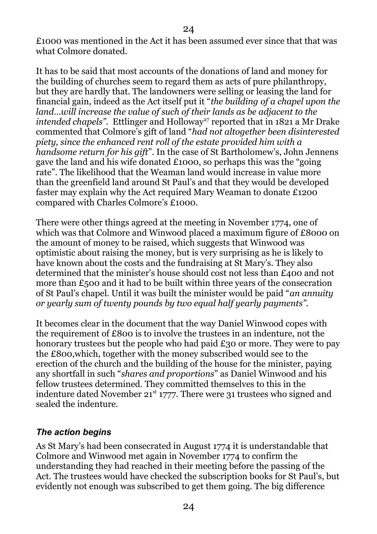£1000 was mentioned in the Act it has been assumed ever since that that was what Colmore donated.

It has to be said that most accounts of the donations of land and money for the building of churches seem to regard them as acts of pure philanthropy, but they are hardly that. The landowners were selling or leasing the land for financial gain, indeed as the Act itself put it "*the building of a chapel upon the land...will increase the value of such of their lands as be adjacent to the intended chapels*". Ettlinger and Holloway<sup>27</sup> reported that in 1821 a Mr Drake commented that Colmore's gift of land "*had not altogether been disinterested piety, since the enhanced rent roll of the estate provided him with a handsome return for his gift*". In the case of St Bartholomew's, John Jennens gave the land and his wife donated £1000, so perhaps this was the "going rate". The likelihood that the Weaman land would increase in value more than the greenfield land around St Paul's and that they would be developed faster may explain why the Act required Mary Weaman to donate £1200 compared with Charles Colmore's £1000.

There were other things agreed at the meeting in November 1774, one of which was that Colmore and Winwood placed a maximum figure of £8000 on the amount of money to be raised, which suggests that Winwood was optimistic about raising the money, but is very surprising as he is likely to have known about the costs and the fundraising at St Mary's. They also determined that the minister's house should cost not less than £400 and not more than £500 and it had to be built within three years of the consecration of St Paul's chapel. Until it was built the minister would be paid "*an annuity or yearly sum of twenty pounds by two equal half yearly payments".*

It becomes clear in the document that the way Daniel Winwood copes with the requirement of £800 is to involve the trustees in an indenture, not the honorary trustees but the people who had paid £30 or more. They were to pay the £800,which, together with the money subscribed would see to the erection of the church and the building of the house for the minister, paying any shortfall in such "*shares and proportions*" as Daniel Winwood and his fellow trustees determined. They committed themselves to this in the indenture dated November  $21^{st}$  1777. There were 31 trustees who signed and sealed the indenture.

#### <span id="page-23-0"></span>*The action begins*

As St Mary's had been consecrated in August 1774 it is understandable that Colmore and Winwood met again in November 1774 to confirm the understanding they had reached in their meeting before the passing of the Act. The trustees would have checked the subscription books for St Paul's, but evidently not enough was subscribed to get them going. The big difference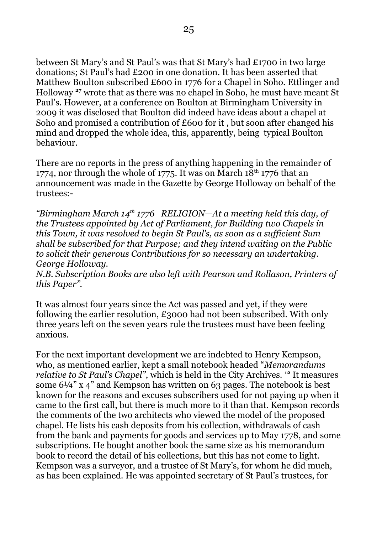between St Mary's and St Paul's was that St Mary's had £1700 in two large donations; St Paul's had £200 in one donation. It has been asserted that Matthew Boulton subscribed £600 in 1776 for a Chapel in Soho. Ettlinger and Holloway **<sup>27</sup>** wrote that as there was no chapel in Soho, he must have meant St Paul's. However, at a conference on Boulton at Birmingham University in 2009 it was disclosed that Boulton did indeed have ideas about a chapel at Soho and promised a contribution of £600 for it, but soon after changed his mind and dropped the whole idea, this, apparently, being typical Boulton behaviour.

There are no reports in the press of anything happening in the remainder of 1774, nor through the whole of 1775. It was on March 18<sup>th</sup> 1776 that an announcement was made in the Gazette by George Holloway on behalf of the trustees:-

*"Birmingham March 14th 1776 RELIGION—At a meeting held this day, of the Trustees appointed by Act of Parliament, for Building two Chapels in this Town, it was resolved to begin St Paul's, as soon as a sufficient Sum shall be subscribed for that Purpose; and they intend waiting on the Public to solicit their generous Contributions for so necessary an undertaking. George Holloway.*

*N.B. Subscription Books are also left with Pearson and Rollason, Printers of this Paper".*

It was almost four years since the Act was passed and yet, if they were following the earlier resolution, £3000 had not been subscribed. With only three years left on the seven years rule the trustees must have been feeling anxious.

For the next important development we are indebted to Henry Kempson, who, as mentioned earlier, kept a small notebook headed "*Memorandums relative to St Paul's Chapel"*, which is held in the City Archives. **<sup>12</sup>** It measures some 6¼" x 4" and Kempson has written on 63 pages. The notebook is best known for the reasons and excuses subscribers used for not paying up when it came to the first call, but there is much more to it than that. Kempson records the comments of the two architects who viewed the model of the proposed chapel. He lists his cash deposits from his collection, withdrawals of cash from the bank and payments for goods and services up to May 1778, and some subscriptions. He bought another book the same size as his memorandum book to record the detail of his collections, but this has not come to light. Kempson was a surveyor, and a trustee of St Mary's, for whom he did much, as has been explained. He was appointed secretary of St Paul's trustees, for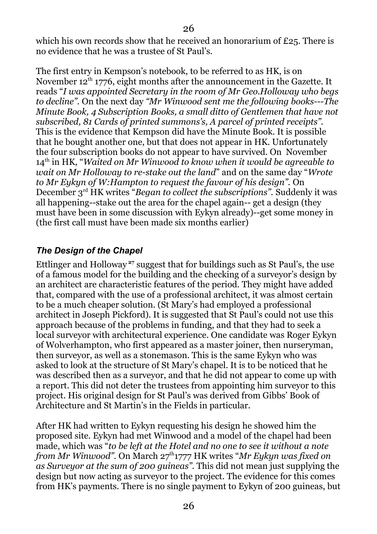which his own records show that he received an honorarium of £25. There is no evidence that he was a trustee of St Paul's.

The first entry in Kempson's notebook, to be referred to as HK, is on November 12<sup>th</sup> 1776, eight months after the announcement in the Gazette. It reads "*I was appointed Secretary in the room of Mr Geo.Holloway who begs to decline".* On the next day *"Mr Winwood sent me the following books---The Minute Book, 4 Subscription Books, a small ditto of Gentlemen that have not subscribed, 81 Cards of printed summons's, A parcel of printed receipts".* This is the evidence that Kempson did have the Minute Book. It is possible that he bought another one, but that does not appear in HK. Unfortunately the four subscription books do not appear to have survived. On November 14th in HK, "*Waited on Mr Winwood to know when it would be agreeable to wait on Mr Holloway to re-stake out the land*" and on the same day "*Wrote to Mr Eykyn of W:Hampton to request the favour of his design".* On December 3rd HK writes "*Began to collect the subscriptions".* Suddenly it was all happening--stake out the area for the chapel again-- get a design (they must have been in some discussion with Eykyn already)--get some money in (the first call must have been made six months earlier)

## <span id="page-25-0"></span>*The Design of the Chapel*

Ettlinger and Holloway **<sup>27</sup>** suggest that for buildings such as St Paul's, the use of a famous model for the building and the checking of a surveyor's design by an architect are characteristic features of the period. They might have added that, compared with the use of a professional architect, it was almost certain to be a much cheaper solution. (St Mary's had employed a professional architect in Joseph Pickford). It is suggested that St Paul's could not use this approach because of the problems in funding, and that they had to seek a local surveyor with architectural experience. One candidate was Roger Eykyn of Wolverhampton, who first appeared as a master joiner, then nurseryman, then surveyor, as well as a stonemason. This is the same Eykyn who was asked to look at the structure of St Mary's chapel. It is to be noticed that he was described then as a surveyor, and that he did not appear to come up with a report. This did not deter the trustees from appointing him surveyor to this project. His original design for St Paul's was derived from Gibbs' Book of Architecture and St Martin's in the Fields in particular.

After HK had written to Eykyn requesting his design he showed him the proposed site. Eykyn had met Winwood and a model of the chapel had been made, which was "*to be left at the Hotel and no one to see it without a note from Mr Winwood"*. On March 27<sup>th</sup>1777 HK writes "*Mr Eykyn was fixed on as Surveyor at the sum of 200 guineas"*. This did not mean just supplying the design but now acting as surveyor to the project. The evidence for this comes from HK's payments. There is no single payment to Eykyn of 200 guineas, but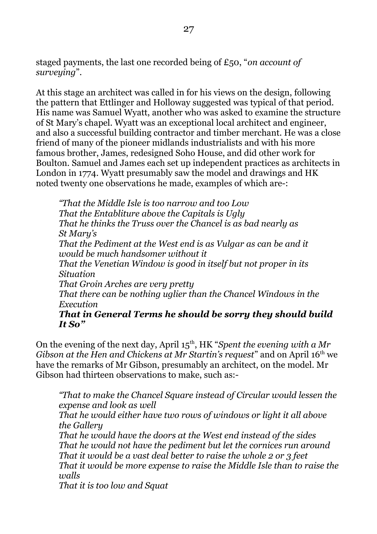staged payments, the last one recorded being of £50, "*on account of surveying*".

At this stage an architect was called in for his views on the design, following the pattern that Ettlinger and Holloway suggested was typical of that period. His name was Samuel Wyatt, another who was asked to examine the structure of St Mary's chapel. Wyatt was an exceptional local architect and engineer, and also a successful building contractor and timber merchant. He was a close friend of many of the pioneer midlands industrialists and with his more famous brother, James, redesigned Soho House, and did other work for Boulton. Samuel and James each set up independent practices as architects in London in 1774. Wyatt presumably saw the model and drawings and HK noted twenty one observations he made, examples of which are-:

*"That the Middle Isle is too narrow and too Low That the Entabliture above the Capitals is Ugly That he thinks the Truss over the Chancel is as bad nearly as St Mary's That the Pediment at the West end is as Vulgar as can be and it would be much handsomer without it That the Venetian Window is good in itself but not proper in its Situation That Groin Arches are very pretty That there can be nothing uglier than the Chancel Windows in the Execution That in General Terms he should be sorry they should build It So"* 

On the evening of the next day, April 15th, HK "*Spent the evening with a Mr Gibson at the Hen and Chickens at Mr Startin's request*" and on April 16<sup>th</sup> we have the remarks of Mr Gibson, presumably an architect, on the model. Mr Gibson had thirteen observations to make, such as:-

*"That to make the Chancel Square instead of Circular would lessen the expense and look as well*

*That he would either have two rows of windows or light it all above the Gallery*

*That he would have the doors at the West end instead of the sides That he would not have the pediment but let the cornices run around That it would be a vast deal better to raise the whole 2 or 3 feet That it would be more expense to raise the Middle Isle than to raise the walls*

*That it is too low and Squat*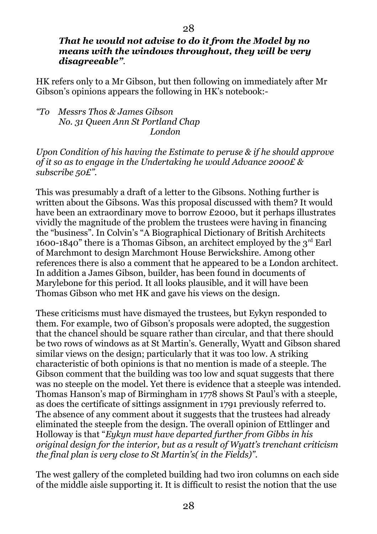#### *That he would not advise to do it from the Model by no means with the windows throughout, they will be very disagreeable".*

HK refers only to a Mr Gibson, but then following on immediately after Mr Gibson's opinions appears the following in HK's notebook:-

*"To Messrs Thos & James Gibson No. 31 Queen Ann St Portland Chap London*

*Upon Condition of his having the Estimate to peruse & if he should approve of it so as to engage in the Undertaking he would Advance 2000£ & subscribe 50£".*

This was presumably a draft of a letter to the Gibsons. Nothing further is written about the Gibsons. Was this proposal discussed with them? It would have been an extraordinary move to borrow £2000, but it perhaps illustrates vividly the magnitude of the problem the trustees were having in financing the "business". In Colvin's "A Biographical Dictionary of British Architects 1600-1840" there is a Thomas Gibson, an architect employed by the  $3<sup>rd</sup>$  Earl of Marchmont to design Marchmont House Berwickshire. Among other references there is also a comment that he appeared to be a London architect. In addition a James Gibson, builder, has been found in documents of Marylebone for this period. It all looks plausible, and it will have been Thomas Gibson who met HK and gave his views on the design.

These criticisms must have dismayed the trustees, but Eykyn responded to them. For example, two of Gibson's proposals were adopted, the suggestion that the chancel should be square rather than circular, and that there should be two rows of windows as at St Martin's. Generally, Wyatt and Gibson shared similar views on the design; particularly that it was too low. A striking characteristic of both opinions is that no mention is made of a steeple. The Gibson comment that the building was too low and squat suggests that there was no steeple on the model. Yet there is evidence that a steeple was intended. Thomas Hanson's map of Birmingham in 1778 shows St Paul's with a steeple, as does the certificate of sittings assignment in 1791 previously referred to. The absence of any comment about it suggests that the trustees had already eliminated the steeple from the design. The overall opinion of Ettlinger and Holloway is that "*Eykyn must have departed further from Gibbs in his original design for the interior, but as a result of Wyatt's trenchant criticism the final plan is very close to St Martin's( in the Fields)".* 

The west gallery of the completed building had two iron columns on each side of the middle aisle supporting it. It is difficult to resist the notion that the use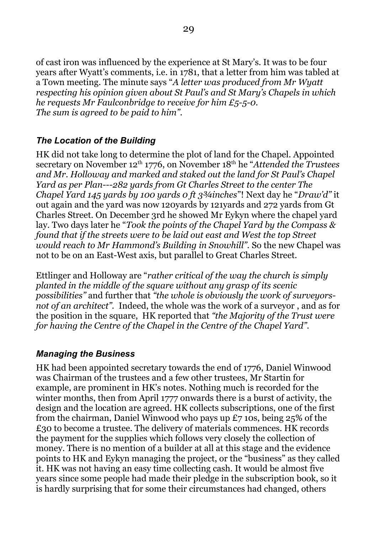of cast iron was influenced by the experience at St Mary's. It was to be four years after Wyatt's comments, i.e. in 1781, that a letter from him was tabled at a Town meeting. The minute says "*A letter was produced from Mr Wyatt respecting his opinion given about St Paul's and St Mary's Chapels in which he requests Mr Faulconbridge to receive for him £5-5-0. The sum is agreed to be paid to him".*

## <span id="page-28-1"></span>*The Location of the Building*

HK did not take long to determine the plot of land for the Chapel. Appointed secretary on November 12<sup>th</sup> 1776, on November 18<sup>th</sup> he "*Attended the Trustees and Mr. Holloway and marked and staked out the land for St Paul's Chapel Yard as per Plan---282 yards from Gt Charles Street to the center The Chapel Yard 145 yards by 100 yards 0 ft 3¾inches*"! Next day he "*Draw'd"* it out again and the yard was now 120yards by 121yards and 272 yards from Gt Charles Street. On December 3rd he showed Mr Eykyn where the chapel yard lay. Two days later he "*Took the points of the Chapel Yard by the Compass & found that if the streets were to be laid out east and West the top Street would reach to Mr Hammond's Building in Snowhill".* So the new Chapel was not to be on an East-West axis, but parallel to Great Charles Street.

Ettlinger and Holloway are "*rather critical of the way the church is simply planted in the middle of the square without any grasp of its scenic possibilities"* and further that *"the whole is obviously the work of surveyorsnot of an architect".* Indeed, the whole was the work of a surveyor , and as for the position in the square, HK reported that *"the Majority of the Trust were for having the Centre of the Chapel in the Centre of the Chapel Yard".*

#### <span id="page-28-0"></span>*Managing the Business*

HK had been appointed secretary towards the end of 1776, Daniel Winwood was Chairman of the trustees and a few other trustees, Mr Startin for example, are prominent in HK's notes. Nothing much is recorded for the winter months, then from April 1777 onwards there is a burst of activity, the design and the location are agreed. HK collects subscriptions, one of the first from the chairman, Daniel Winwood who pays up £7 10s, being 25% of the £30 to become a trustee. The delivery of materials commences. HK records the payment for the supplies which follows very closely the collection of money. There is no mention of a builder at all at this stage and the evidence points to HK and Eykyn managing the project, or the "business" as they called it. HK was not having an easy time collecting cash. It would be almost five years since some people had made their pledge in the subscription book, so it is hardly surprising that for some their circumstances had changed, others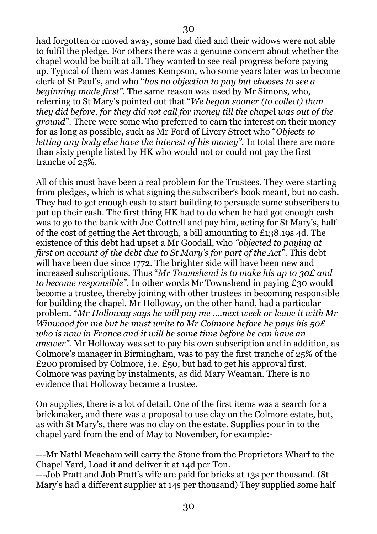had forgotten or moved away, some had died and their widows were not able to fulfil the pledge. For others there was a genuine concern about whether the chapel would be built at all. They wanted to see real progress before paying up. Typical of them was James Kempson, who some years later was to become clerk of St Paul's, and who "*has no objection to pay but chooses to see a beginning made first"*. The same reason was used by Mr Simons, who, referring to St Mary's pointed out that "*We began sooner (to collect) than they did before, for they did not call for money till the chape*l *was out of the ground*". There were some who preferred to earn the interest on their money for as long as possible, such as Mr Ford of Livery Street who "*Objects to letting any body else have the interest of his money".* In total there are more than sixty people listed by HK who would not or could not pay the first tranche of 25%.

All of this must have been a real problem for the Trustees. They were starting from pledges, which is what signing the subscriber's book meant, but no cash. They had to get enough cash to start building to persuade some subscribers to put up their cash. The first thing HK had to do when he had got enough cash was to go to the bank with Joe Cottrell and pay him, acting for St Mary's, half of the cost of getting the Act through, a bill amounting to £138.19s 4d. The existence of this debt had upset a Mr Goodall, who *"objected to paying at first on account of the debt due to St Mary's for part of the Act*". This debt will have been due since 1772. The brighter side will have been new and increased subscriptions. Thus "*Mr Townshend is to make his up to 30£ and to become responsible".* In other words Mr Townshend in paying £30 would become a trustee, thereby joining with other trustees in becoming responsible for building the chapel. Mr Holloway, on the other hand, had a particular problem. "*Mr Holloway says he will pay me ….next week or leave it with Mr Winwood for me but he must write to Mr Colmore before he pays his 50£ who is now in France and it will be some time before he can have an answer".* Mr Holloway was set to pay his own subscription and in addition, as Colmore's manager in Birmingham, was to pay the first tranche of 25% of the £200 promised by Colmore, i.e. £50, but had to get his approval first. Colmore was paying by instalments, as did Mary Weaman. There is no evidence that Holloway became a trustee.

On supplies, there is a lot of detail. One of the first items was a search for a brickmaker, and there was a proposal to use clay on the Colmore estate, but, as with St Mary's, there was no clay on the estate. Supplies pour in to the chapel yard from the end of May to November, for example:-

---Mr Nathl Meacham will carry the Stone from the Proprietors Wharf to the Chapel Yard, Load it and deliver it at 14d per Ton.

---Job Pratt and Job Pratt's wife are paid for bricks at 13s per thousand. (St Mary's had a different supplier at 14s per thousand) They supplied some half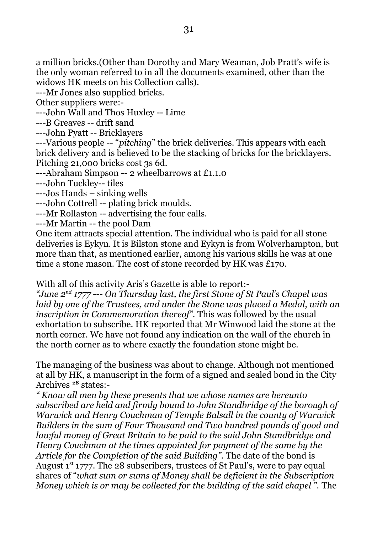a million bricks.(Other than Dorothy and Mary Weaman, Job Pratt's wife is the only woman referred to in all the documents examined, other than the widows HK meets on his Collection calls).

---Mr Jones also supplied bricks.

Other suppliers were:-

---John Wall and Thos Huxley -- Lime

---B Greaves -- drift sand

---John Pyatt -- Bricklayers

---Various people -- "*pitching*" the brick deliveries. This appears with each brick delivery and is believed to be the stacking of bricks for the bricklayers. Pitching 21,000 bricks cost 3s 6d.

---Abraham Simpson -- 2 wheelbarrows at £1.1.0

---John Tuckley-- tiles

---Jos Hands – sinking wells

---John Cottrell -- plating brick moulds.

---Mr Rollaston -- advertising the four calls.

---Mr Martin -- the pool Dam

One item attracts special attention. The individual who is paid for all stone deliveries is Eykyn. It is Bilston stone and Eykyn is from Wolverhampton, but more than that, as mentioned earlier, among his various skills he was at one time a stone mason. The cost of stone recorded by HK was £170.

With all of this activity Aris's Gazette is able to report:-

*"June 2nd 1777 --- On Thursday last, the first Stone of St Paul's Chapel was laid by one of the Trustees, and under the Stone was placed a Medal, with an inscription in Commemoration thereof".* This was followed by the usual exhortation to subscribe. HK reported that Mr Winwood laid the stone at the north corner. We have not found any indication on the wall of the church in the north corner as to where exactly the foundation stone might be.

The managing of the business was about to change. Although not mentioned at all by HK, a manuscript in the form of a signed and sealed bond in the City Archives **<sup>28</sup>** states:-

*" Know all men by these presents that we whose names are hereunto subscribed are held and firmly bound to John Standbridge of the borough of Warwick and Henry Couchman of Temple Balsall in the county of Warwick Builders in the sum of Four Thousand and Two hundred pounds of good and lawful money of Great Britain to be paid to the said John Standbridge and Henry Couchman at the times appointed for payment of the same by the Article for the Completion of the said Building".* The date of the bond is August  $1<sup>st</sup>$  1777. The 28 subscribers, trustees of St Paul's, were to pay equal shares of "*what sum or sums of Money shall be deficient in the Subscription Money which is or may be collected for the building of the said chapel ".* The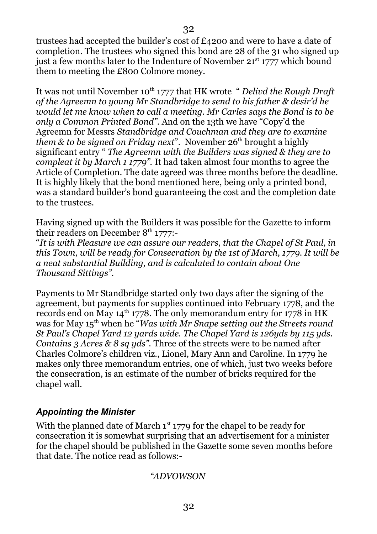trustees had accepted the builder's cost of £4200 and were to have a date of completion. The trustees who signed this bond are 28 of the 31 who signed up just a few months later to the Indenture of November  $21^{st}$  1777 which bound them to meeting the £800 Colmore money.

It was not until November 10<sup>th</sup> 1777 that HK wrote " *Delivd the Rough Draft of the Agreemn to young Mr Standbridge to send to his father & desir'd he would let me know when to call a meeting. Mr Carles says the Bond is to be only a Common Printed Bond".* And on the 13th we have "Copy'd the Agreemn for Messrs *Standbridge and Couchman and they are to examine them & to be signed on Friday next*". November 26<sup>th</sup> brought a highly significant entry " *The Agreemn with the Builders was signed & they are to compleat it by March 1 1779".* It had taken almost four months to agree the Article of Completion. The date agreed was three months before the deadline. It is highly likely that the bond mentioned here, being only a printed bond, was a standard builder's bond guaranteeing the cost and the completion date to the trustees.

Having signed up with the Builders it was possible for the Gazette to inform their readers on December  $8<sup>th</sup>$  1777:-

"*It is with Pleasure we can assure our readers, that the Chapel of St Paul, in this Town, will be ready for Consecration by the 1st of March, 1779. It will be a neat substantial Building, and is calculated to contain about One Thousand Sittings".*

Payments to Mr Standbridge started only two days after the signing of the agreement, but payments for supplies continued into February 1778, and the records end on May  $14^{\text{th}}$  1778. The only memorandum entry for 1778 in HK was for May 15<sup>th</sup> when he "*Was with Mr Snape setting out the Streets round St Paul's Chapel Yard 12 yards wide. The Chapel Yard is 126yds by 115 yds. Contains 3 Acres & 8 sq yds".* Three of the streets were to be named after Charles Colmore's children viz., Lionel, Mary Ann and Caroline. In 1779 he makes only three memorandum entries, one of which, just two weeks before the consecration, is an estimate of the number of bricks required for the chapel wall.

## <span id="page-31-0"></span>*Appointing the Minister*

With the planned date of March  $1<sup>st</sup> 1779$  for the chapel to be ready for consecration it is somewhat surprising that an advertisement for a minister for the chapel should be published in the Gazette some seven months before that date. The notice read as follows:-

#### *"ADVOWSON*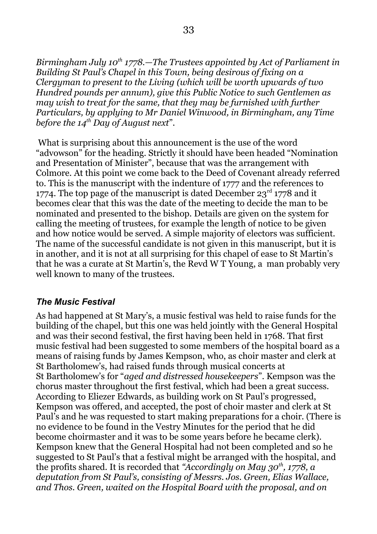*Birmingham July 10th 1778.—The Trustees appointed by Act of Parliament in Building St Paul's Chapel in this Town, being desirous of fixing on a Clergyman to present to the Living (which will be worth upwards of two Hundred pounds per annum), give this Public Notice to such Gentlemen as may wish to treat for the same, that they may be furnished with further Particulars, by applying to Mr Daniel Winwood, in Birmingham, any Time before the 14th Day of August next*".

 What is surprising about this announcement is the use of the word "advowson" for the heading. Strictly it should have been headed "Nomination and Presentation of Minister", because that was the arrangement with Colmore. At this point we come back to the Deed of Covenant already referred to. This is the manuscript with the indenture of 1777 and the references to 1774. The top page of the manuscript is dated December  $23<sup>rd</sup>$  1778 and it becomes clear that this was the date of the meeting to decide the man to be nominated and presented to the bishop. Details are given on the system for calling the meeting of trustees, for example the length of notice to be given and how notice would be served. A simple majority of electors was sufficient. The name of the successful candidate is not given in this manuscript, but it is in another, and it is not at all surprising for this chapel of ease to St Martin's that he was a curate at St Martin's, the Revd W T Young, a man probably very well known to many of the trustees.

#### <span id="page-32-0"></span>*The Music Festival*

As had happened at St Mary's, a music festival was held to raise funds for the building of the chapel, but this one was held jointly with the General Hospital and was their second festival, the first having been held in 1768. That first music festival had been suggested to some members of the hospital board as a means of raising funds by James Kempson, who, as choir master and clerk at St Bartholomew's, had raised funds through musical concerts at St Bartholomew's for "*aged and distressed housekeepers*". Kempson was the chorus master throughout the first festival, which had been a great success. According to Eliezer Edwards, as building work on St Paul's progressed, Kempson was offered, and accepted, the post of choir master and clerk at St Paul's and he was requested to start making preparations for a choir. (There is no evidence to be found in the Vestry Minutes for the period that he did become choirmaster and it was to be some years before he became clerk). Kempson knew that the General Hospital had not been completed and so he suggested to St Paul's that a festival might be arranged with the hospital, and the profits shared. It is recorded that *"Accordingly on May 30th, 1778, a deputation from St Paul's, consisting of Messrs. Jos. Green, Elias Wallace, and Thos. Green, waited on the Hospital Board with the proposal, and on*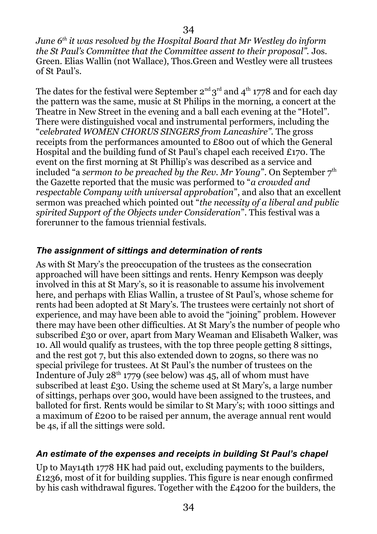*June 6th it was resolved by the Hospital Board that Mr Westley do inform the St Paul's Committee that the Committee assent to their proposal".* Jos. Green. Elias Wallin (not Wallace), Thos.Green and Westley were all trustees of St Paul's.

The dates for the festival were September 2<sup>nd</sup> 3<sup>rd</sup> and 4<sup>th</sup> 1778 and for each day the pattern was the same, music at St Philips in the morning, a concert at the Theatre in New Street in the evening and a ball each evening at the "Hotel". There were distinguished vocal and instrumental performers, including the "*celebrated WOMEN CHORUS SINGERS from Lancashire".* The gross receipts from the performances amounted to £800 out of which the General Hospital and the building fund of St Paul's chapel each received £170. The event on the first morning at St Phillip's was described as a service and included "a *sermon to be preached by the Rev. Mr Young*". On September 7<sup>th</sup> the Gazette reported that the music was performed to "*a crowded and respectable Company with universal approbation*", and also that an excellent sermon was preached which pointed out "*the necessity of a liberal and public spirited Support of the Objects under Consideration*". This festival was a forerunner to the famous triennial festivals.

## <span id="page-33-1"></span>*The assignment of sittings and determination of rents*

As with St Mary's the preoccupation of the trustees as the consecration approached will have been sittings and rents. Henry Kempson was deeply involved in this at St Mary's, so it is reasonable to assume his involvement here, and perhaps with Elias Wallin, a trustee of St Paul's, whose scheme for rents had been adopted at St Mary's. The trustees were certainly not short of experience, and may have been able to avoid the "joining" problem. However there may have been other difficulties. At St Mary's the number of people who subscribed £30 or over, apart from Mary Weaman and Elisabeth Walker, was 10. All would qualify as trustees, with the top three people getting 8 sittings, and the rest got 7, but this also extended down to 20gns, so there was no special privilege for trustees. At St Paul's the number of trustees on the Indenture of July  $28^{th}$  1779 (see below) was 45, all of whom must have subscribed at least £30. Using the scheme used at St Mary's, a large number of sittings, perhaps over 300, would have been assigned to the trustees, and balloted for first. Rents would be similar to St Mary's; with 1000 sittings and a maximum of £200 to be raised per annum, the average annual rent would be 4s, if all the sittings were sold.

#### <span id="page-33-0"></span>*An estimate of the expenses and receipts in building St Paul's chapel*

Up to May14th 1778 HK had paid out, excluding payments to the builders, £1236, most of it for building supplies. This figure is near enough confirmed by his cash withdrawal figures. Together with the £4200 for the builders, the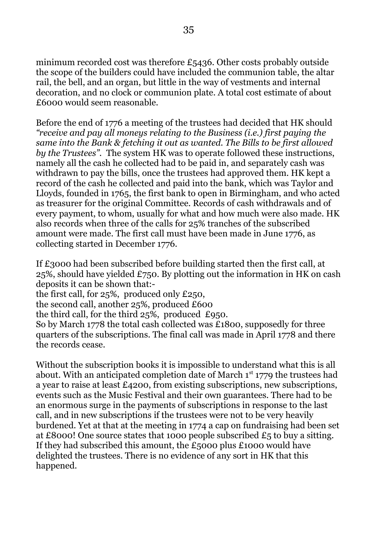minimum recorded cost was therefore £5436. Other costs probably outside the scope of the builders could have included the communion table, the altar rail, the bell, and an organ, but little in the way of vestments and internal decoration, and no clock or communion plate. A total cost estimate of about £6000 would seem reasonable.

Before the end of 1776 a meeting of the trustees had decided that HK should *"receive and pay all moneys relating to the Business (i.e.) first paying the same into the Bank & fetching it out as wanted. The Bills to be first allowed by the Trustees".* The system HK was to operate followed these instructions, namely all the cash he collected had to be paid in, and separately cash was withdrawn to pay the bills, once the trustees had approved them. HK kept a record of the cash he collected and paid into the bank, which was Taylor and Lloyds, founded in 1765, the first bank to open in Birmingham, and who acted as treasurer for the original Committee. Records of cash withdrawals and of every payment, to whom, usually for what and how much were also made. HK also records when three of the calls for 25% tranches of the subscribed amount were made. The first call must have been made in June 1776, as collecting started in December 1776.

If £3000 had been subscribed before building started then the first call, at 25%, should have yielded £750. By plotting out the information in HK on cash deposits it can be shown that:-

the first call, for 25%, produced only £250,

the second call, another 25%, produced £600

the third call, for the third 25%, produced £950.

So by March 1778 the total cash collected was £1800, supposedly for three quarters of the subscriptions. The final call was made in April 1778 and there the records cease.

Without the subscription books it is impossible to understand what this is all about. With an anticipated completion date of March  $1<sup>st</sup>$  1779 the trustees had a year to raise at least £4200, from existing subscriptions, new subscriptions, events such as the Music Festival and their own guarantees. There had to be an enormous surge in the payments of subscriptions in response to the last call, and in new subscriptions if the trustees were not to be very heavily burdened. Yet at that at the meeting in 1774 a cap on fundraising had been set at £8000! One source states that 1000 people subscribed £5 to buy a sitting. If they had subscribed this amount, the £5000 plus £1000 would have delighted the trustees. There is no evidence of any sort in HK that this happened.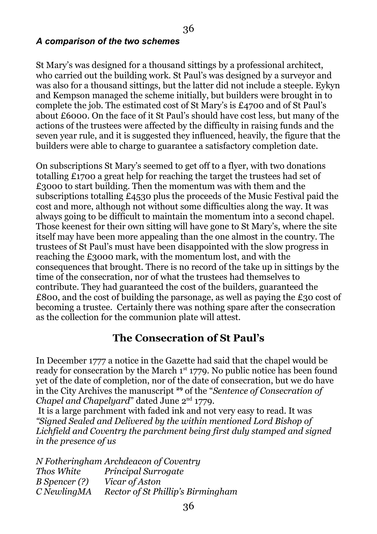#### <span id="page-35-1"></span>*A comparison of the two schemes*

St Mary's was designed for a thousand sittings by a professional architect, who carried out the building work. St Paul's was designed by a surveyor and was also for a thousand sittings, but the latter did not include a steeple. Eykyn and Kempson managed the scheme initially, but builders were brought in to complete the job. The estimated cost of St Mary's is £4700 and of St Paul's about £6000. On the face of it St Paul's should have cost less, but many of the actions of the trustees were affected by the difficulty in raising funds and the seven year rule, and it is suggested they influenced, heavily, the figure that the builders were able to charge to guarantee a satisfactory completion date.

On subscriptions St Mary's seemed to get off to a flyer, with two donations totalling £1700 a great help for reaching the target the trustees had set of £3000 to start building. Then the momentum was with them and the subscriptions totalling £4530 plus the proceeds of the Music Festival paid the cost and more, although not without some difficulties along the way. It was always going to be difficult to maintain the momentum into a second chapel. Those keenest for their own sitting will have gone to St Mary's, where the site itself may have been more appealing than the one almost in the country. The trustees of St Paul's must have been disappointed with the slow progress in reaching the £3000 mark, with the momentum lost, and with the consequences that brought. There is no record of the take up in sittings by the time of the consecration, nor of what the trustees had themselves to contribute. They had guaranteed the cost of the builders, guaranteed the £800, and the cost of building the parsonage, as well as paying the £30 cost of becoming a trustee. Certainly there was nothing spare after the consecration as the collection for the communion plate will attest.

## <span id="page-35-0"></span>**The Consecration of St Paul's**

In December 1777 a notice in the Gazette had said that the chapel would be ready for consecration by the March  $1<sup>st</sup> 1779$ . No public notice has been found yet of the date of completion, nor of the date of consecration, but we do have in the City Archives the manuscript **<sup>29</sup>** of the "*Sentence of Consecration of Chapel and Chapelyard*" dated June 2<sup>nd</sup> 1779.

 It is a large parchment with faded ink and not very easy to read. It was *"Signed Sealed and Delivered by the within mentioned Lord Bishop of Lichfield and Coventry the parchment being first duly stamped and signed in the presence of us*

|                      | N Fotheringham Archdeacon of Coventry |
|----------------------|---------------------------------------|
| Thos White           | <b>Principal Surrogate</b>            |
| <i>B</i> Spencer (?) | Vicar of Aston                        |
| $C$ NewlingMA        | Rector of St Phillip's Birmingham     |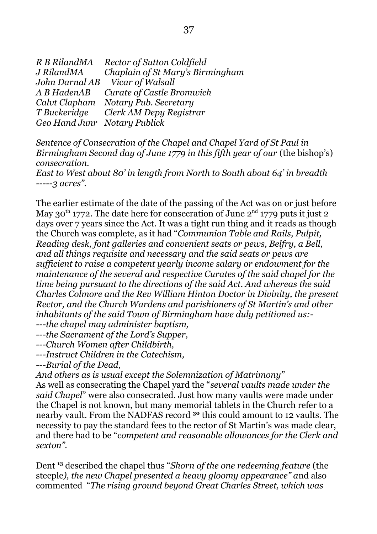| R B RilandMA                 | <b>Rector of Sutton Coldfield</b>   |
|------------------------------|-------------------------------------|
| J RilandMA                   | Chaplain of St Mary's Birmingham    |
|                              | John Darnal AB Vicar of Walsall     |
| A B HadenAB                  | <b>Curate of Castle Bromwich</b>    |
|                              | Calvt Clapham Notary Pub. Secretary |
| T Buckeridge                 | Clerk AM Depy Registrar             |
| Geo Hand Junr Notary Publick |                                     |

*Sentence of Consecration of the Chapel and Chapel Yard of St Paul in Birmingham Second day of June 1779 in this fifth year of our (the bishop's) consecration.*

*East to West about 80' in length from North to South about 64' in breadth -----3 acres".*

The earlier estimate of the date of the passing of the Act was on or just before May 30<sup>th</sup> 1772. The date here for consecration of June  $2<sup>nd</sup>$  1779 puts it just 2 days over 7 years since the Act. It was a tight run thing and it reads as though the Church was complete, as it had "*Communion Table and Rails, Pulpit, Reading desk, font galleries and convenient seats or pews, Belfry, a Bell, and all things requisite and necessary and the said seats or pews are sufficient to raise a competent yearly income salary or endowment for the maintenance of the several and respective Curates of the said chapel for the time being pursuant to the directions of the said Act. And whereas the said Charles Colmore and the Rev William Hinton Doctor in Divinity, the present Rector, and the Church Wardens and parishioners of St Martin's and other inhabitants of the said Town of Birmingham have duly petitioned us:-*

*---the chapel may administer baptism,*

*---the Sacrament of the Lord's Supper,*

*---Church Women after Childbirth,*

*---Instruct Children in the Catechism,*

*---Burial of the Dead,*

*And others as is usual except the Solemnization of Matrimony"*

As well as consecrating the Chapel yard the "*several vaults made under the said Chapel*" were also consecrated. Just how many vaults were made under the Chapel is not known, but many memorial tablets in the Church refer to a nearby vault. From the NADFAS record **<sup>30</sup>** this could amount to 12 vaults. The necessity to pay the standard fees to the rector of St Martin's was made clear, and there had to be "*competent and reasonable allowances for the Clerk and sexton".*

Dent **<sup>13</sup>** described the chapel thus "*Shorn of the one redeeming feature* (the steeple*), the new Chapel presented a heavy gloomy appearance" a*nd also commented "*The rising ground beyond Great Charles Street, which was*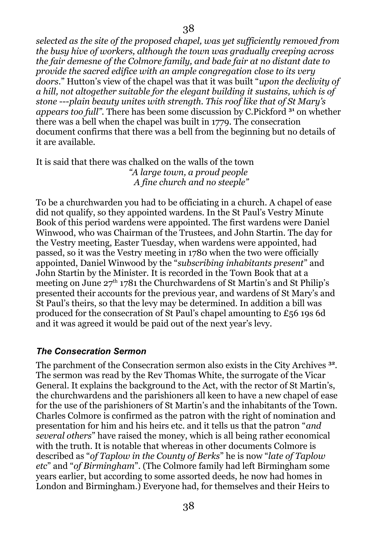*selected as the site of the proposed chapel, was yet sufficiently removed from the busy hive of workers, although the town was gradually creeping across the fair demesne of the Colmore family, and bade fair at no distant date to provide the sacred edifice with an ample congregation close to its very doors*." Hutton's view of the chapel was that it was built "*upon the declivity of a hill, not altogether suitable for the elegant building it sustains, which is of stone* ---*plain beauty unites with strength. This roof like that of St Mary's appears too full".* There has been some discussion by C.Pickford **<sup>31</sup>** on whether there was a bell when the chapel was built in 1779. The consecration document confirms that there was a bell from the beginning but no details of it are available.

It is said that there was chalked on the walls of the town *"A large town, a proud people A fine church and no steeple"*

To be a churchwarden you had to be officiating in a church. A chapel of ease did not qualify, so they appointed wardens. In the St Paul's Vestry Minute Book of this period wardens were appointed. The first wardens were Daniel Winwood, who was Chairman of the Trustees, and John Startin. The day for the Vestry meeting, Easter Tuesday, when wardens were appointed, had passed, so it was the Vestry meeting in 1780 when the two were officially appointed, Daniel Winwood by the "*subscribing inhabitants present*" and John Startin by the Minister. It is recorded in the Town Book that at a meeting on June  $27<sup>th</sup> 1781$  the Churchwardens of St Martin's and St Philip's presented their accounts for the previous year, and wardens of St Mary's and St Paul's theirs, so that the levy may be determined. In addition a bill was produced for the consecration of St Paul's chapel amounting to £56 19s 6d and it was agreed it would be paid out of the next year's levy.

## <span id="page-37-0"></span>*The Consecration Sermon*

The parchment of the Consecration sermon also exists in the City Archives **<sup>32</sup>** . The sermon was read by the Rev Thomas White, the surrogate of the Vicar General. It explains the background to the Act, with the rector of St Martin's, the churchwardens and the parishioners all keen to have a new chapel of ease for the use of the parishioners of St Martin's and the inhabitants of the Town. Charles Colmore is confirmed as the patron with the right of nomination and presentation for him and his heirs etc. and it tells us that the patron "*and several others*" have raised the money, which is all being rather economical with the truth. It is notable that whereas in other documents Colmore is described as "*of Taplow in the County of Berks*" he is now "*late of Taplow etc*" and "*of Birmingham*". (The Colmore family had left Birmingham some years earlier, but according to some assorted deeds, he now had homes in London and Birmingham.) Everyone had, for themselves and their Heirs to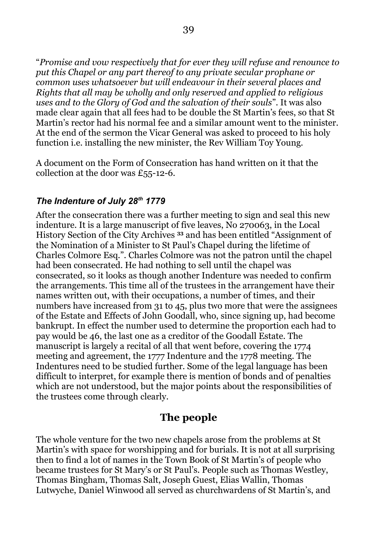"*Promise and vow respectively that for ever they will refuse and renounce to put this Chapel or any part thereof to any private secular prophane or common uses whatsoever but will endeavour in their several places and Rights that all may be wholly and only reserved and applied to religious uses and to the Glory of God and the salvation of their souls*". It was also made clear again that all fees had to be double the St Martin's fees, so that St Martin's rector had his normal fee and a similar amount went to the minister. At the end of the sermon the Vicar General was asked to proceed to his holy function i.e. installing the new minister, the Rev William Toy Young.

A document on the Form of Consecration has hand written on it that the collection at the door was £55-12-6.

#### <span id="page-38-0"></span>*The Indenture of July 28th 1779*

After the consecration there was a further meeting to sign and seal this new indenture. It is a large manuscript of five leaves, No 270063, in the Local History Section of the City Archives **<sup>33</sup>** and has been entitled "Assignment of the Nomination of a Minister to St Paul's Chapel during the lifetime of Charles Colmore Esq.". Charles Colmore was not the patron until the chapel had been consecrated. He had nothing to sell until the chapel was consecrated, so it looks as though another Indenture was needed to confirm the arrangements. This time all of the trustees in the arrangement have their names written out, with their occupations, a number of times, and their numbers have increased from 31 to 45, plus two more that were the assignees of the Estate and Effects of John Goodall, who, since signing up, had become bankrupt. In effect the number used to determine the proportion each had to pay would be 46, the last one as a creditor of the Goodall Estate. The manuscript is largely a recital of all that went before, covering the 1774 meeting and agreement, the 1777 Indenture and the 1778 meeting. The Indentures need to be studied further. Some of the legal language has been difficult to interpret, for example there is mention of bonds and of penalties which are not understood, but the major points about the responsibilities of the trustees come through clearly.

## **The people**

The whole venture for the two new chapels arose from the problems at St Martin's with space for worshipping and for burials. It is not at all surprising then to find a lot of names in the Town Book of St Martin's of people who became trustees for St Mary's or St Paul's. People such as Thomas Westley, Thomas Bingham, Thomas Salt, Joseph Guest, Elias Wallin, Thomas Lutwyche, Daniel Winwood all served as churchwardens of St Martin's, and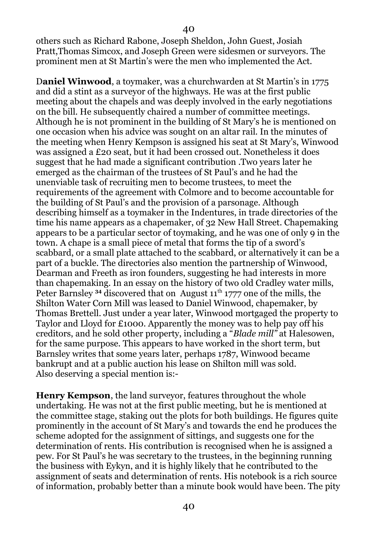others such as Richard Rabone, Joseph Sheldon, John Guest, Josiah Pratt,Thomas Simcox, and Joseph Green were sidesmen or surveyors. The prominent men at St Martin's were the men who implemented the Act.

40

D**aniel Winwood**, a toymaker, was a churchwarden at St Martin's in 1775 and did a stint as a surveyor of the highways. He was at the first public meeting about the chapels and was deeply involved in the early negotiations on the bill. He subsequently chaired a number of committee meetings. Although he is not prominent in the building of St Mary's he is mentioned on one occasion when his advice was sought on an altar rail. In the minutes of the meeting when Henry Kempson is assigned his seat at St Mary's, Winwood was assigned a £20 seat, but it had been crossed out. Nonetheless it does suggest that he had made a significant contribution .Two years later he emerged as the chairman of the trustees of St Paul's and he had the unenviable task of recruiting men to become trustees, to meet the requirements of the agreement with Colmore and to become accountable for the building of St Paul's and the provision of a parsonage. Although describing himself as a toymaker in the Indentures, in trade directories of the time his name appears as a chapemaker, of 32 New Hall Street. Chapemaking appears to be a particular sector of toymaking, and he was one of only 9 in the town. A chape is a small piece of metal that forms the tip of a sword's scabbard, or a small plate attached to the scabbard, or alternatively it can be a part of a buckle. The directories also mention the partnership of Winwood, Dearman and Freeth as iron founders, suggesting he had interests in more than chapemaking. In an essay on the history of two old Cradley water mills, Peter Barnsley <sup>34</sup> discovered that on August 11<sup>th</sup> 1777 one of the mills, the Shilton Water Corn Mill was leased to Daniel Winwood, chapemaker, by Thomas Brettell. Just under a year later, Winwood mortgaged the property to Taylor and Lloyd for £1000. Apparently the money was to help pay off his creditors, and he sold other property, including a "*Blade mill"* at Halesowen, for the same purpose. This appears to have worked in the short term, but Barnsley writes that some years later, perhaps 1787, Winwood became bankrupt and at a public auction his lease on Shilton mill was sold. Also deserving a special mention is:-

**Henry Kempson**, the land surveyor, features throughout the whole undertaking. He was not at the first public meeting, but he is mentioned at the committee stage, staking out the plots for both buildings. He figures quite prominently in the account of St Mary's and towards the end he produces the scheme adopted for the assignment of sittings, and suggests one for the determination of rents. His contribution is recognised when he is assigned a pew. For St Paul's he was secretary to the trustees, in the beginning running the business with Eykyn, and it is highly likely that he contributed to the assignment of seats and determination of rents. His notebook is a rich source of information, probably better than a minute book would have been. The pity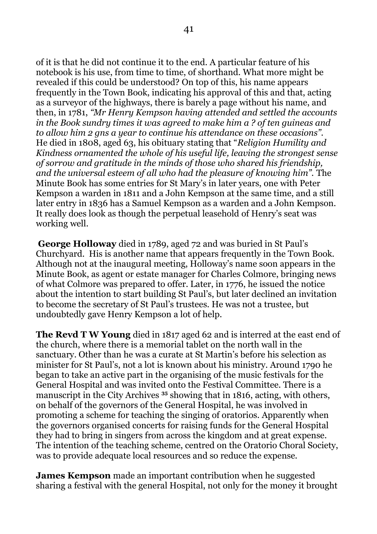of it is that he did not continue it to the end. A particular feature of his notebook is his use, from time to time, of shorthand. What more might be revealed if this could be understood? On top of this, his name appears frequently in the Town Book, indicating his approval of this and that, acting as a surveyor of the highways, there is barely a page without his name, and then, in 1781, *"Mr Henry Kempson having attended and settled the accounts in the Book sundry times it was agreed to make him a ? of ten guineas and to allow him 2 gns a year to continue his attendance on these occasions".*  He died in 1808, aged 63, his obituary stating that "*Religion Humility and Kindness ornamented the whole of his useful life, leaving the strongest sense of sorrow and gratitude in the minds of those who shared his friendship, and the universal esteem of all who had the pleasure of knowing him".* The Minute Book has some entries for St Mary's in later years, one with Peter Kempson a warden in 1811 and a John Kempson at the same time, and a still later entry in 1836 has a Samuel Kempson as a warden and a John Kempson. It really does look as though the perpetual leasehold of Henry's seat was working well.

**George Holloway** died in 1789, aged 72 and was buried in St Paul's Churchyard. His is another name that appears frequently in the Town Book. Although not at the inaugural meeting, Holloway's name soon appears in the Minute Book, as agent or estate manager for Charles Colmore, bringing news of what Colmore was prepared to offer. Later, in 1776, he issued the notice about the intention to start building St Paul's, but later declined an invitation to become the secretary of St Paul's trustees. He was not a trustee, but undoubtedly gave Henry Kempson a lot of help.

**The Revd T W Young** died in 1817 aged 62 and is interred at the east end of the church, where there is a memorial tablet on the north wall in the sanctuary. Other than he was a curate at St Martin's before his selection as minister for St Paul's, not a lot is known about his ministry. Around 1790 he began to take an active part in the organising of the music festivals for the General Hospital and was invited onto the Festival Committee. There is a manuscript in the City Archives **<sup>35</sup>** showing that in 1816, acting, with others, on behalf of the governors of the General Hospital, he was involved in promoting a scheme for teaching the singing of oratorios. Apparently when the governors organised concerts for raising funds for the General Hospital they had to bring in singers from across the kingdom and at great expense. The intention of the teaching scheme, centred on the Oratorio Choral Society, was to provide adequate local resources and so reduce the expense.

**James Kempson** made an important contribution when he suggested sharing a festival with the general Hospital, not only for the money it brought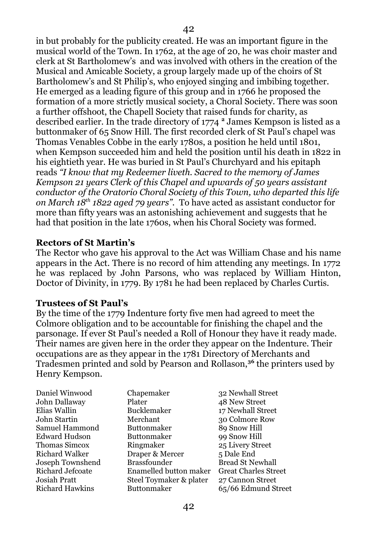in but probably for the publicity created. He was an important figure in the musical world of the Town. In 1762, at the age of 20, he was choir master and clerk at St Bartholomew's and was involved with others in the creation of the Musical and Amicable Society, a group largely made up of the choirs of St Bartholomew's and St Philip's, who enjoyed singing and imbibing together. He emerged as a leading figure of this group and in 1766 he proposed the formation of a more strictly musical society, a Choral Society. There was soon a further offshoot, the Chapell Society that raised funds for charity, as described earlier. In the trade directory of 1774 **<sup>2</sup>** James Kempson is listed as a buttonmaker of 65 Snow Hill. The first recorded clerk of St Paul's chapel was Thomas Venables Cobbe in the early 1780s, a position he held until 1801, when Kempson succeeded him and held the position until his death in 1822 in his eightieth year. He was buried in St Paul's Churchyard and his epitaph reads *"I know that my Redeemer liveth. Sacred to the memory of James Kempson 21 years Clerk of this Chapel and upwards of 50 years assistant conductor of the Oratorio Choral Society of this Town, who departed this life on March 18th 1822 aged 79 years".* To have acted as assistant conductor for more than fifty years was an astonishing achievement and suggests that he had that position in the late 1760s, when his Choral Society was formed.

#### **Rectors of St Martin's**

The Rector who gave his approval to the Act was William Chase and his name appears in the Act. There is no record of him attending any meetings. In 1772 he was replaced by John Parsons, who was replaced by William Hinton, Doctor of Divinity, in 1779. By 1781 he had been replaced by Charles Curtis.

#### **Trustees of St Paul's**

By the time of the 1779 Indenture forty five men had agreed to meet the Colmore obligation and to be accountable for finishing the chapel and the parsonage. If ever St Paul's needed a Roll of Honour they have it ready made. Their names are given here in the order they appear on the Indenture. Their occupations are as they appear in the 1781 Directory of Merchants and Tradesmen printed and sold by Pearson and Rollason,**<sup>36</sup>** the printers used by Henry Kempson.

| Chapemaker              | 32 Newhall Street           |
|-------------------------|-----------------------------|
| Plater                  | 48 New Street               |
| <b>Bucklemaker</b>      | 17 Newhall Street           |
| Merchant                | 30 Colmore Row              |
| <b>Buttonmaker</b>      | 89 Snow Hill                |
| <b>Buttonmaker</b>      | 99 Snow Hill                |
| Ringmaker               | 25 Livery Street            |
| Draper & Mercer         | 5 Dale End                  |
| <b>Brassfounder</b>     | <b>Bread St Newhall</b>     |
| Enamelled button maker  | <b>Great Charles Street</b> |
| Steel Toymaker & plater | 27 Cannon Street            |
| <b>Buttonmaker</b>      | 65/66 Edmund Street         |
|                         |                             |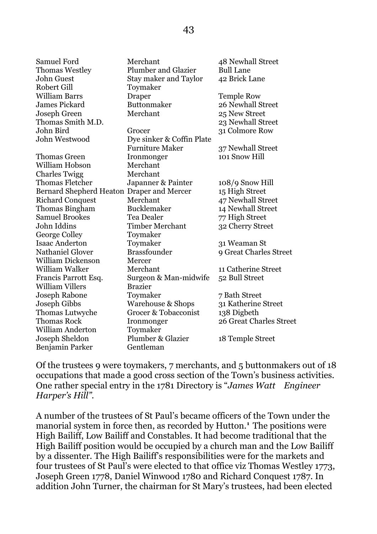| <b>Samuel Ford</b>                        | Merchant                     | 48 Newhall Street       |
|-------------------------------------------|------------------------------|-------------------------|
| <b>Thomas Westley</b>                     | <b>Plumber and Glazier</b>   | <b>Bull Lane</b>        |
| <b>John Guest</b>                         | <b>Stay maker and Taylor</b> | 42 Brick Lane           |
| Robert Gill                               | Toymaker                     |                         |
| <b>William Barrs</b>                      | Draper                       | <b>Temple Row</b>       |
| <b>James Pickard</b>                      | <b>Buttonmaker</b>           | 26 Newhall Street       |
| Joseph Green                              | Merchant                     | 25 New Street           |
| Thomas Smith M.D.                         |                              | 23 Newhall Street       |
| John Bird                                 | Grocer                       | 31 Colmore Row          |
| John Westwood                             | Dye sinker & Coffin Plate    |                         |
|                                           | <b>Furniture Maker</b>       | 37 Newhall Street       |
| Thomas Green                              | Ironmonger                   | 101 Snow Hill           |
| William Hobson                            | Merchant                     |                         |
| <b>Charles Twigg</b>                      | Merchant                     |                         |
| <b>Thomas Fletcher</b>                    | Japanner & Painter           | $108/9$ Snow Hill       |
| Bernard Shepherd Heaton Draper and Mercer |                              | 15 High Street          |
| <b>Richard Conquest</b>                   | Merchant                     | 47 Newhall Street       |
| Thomas Bingham                            | <b>Bucklemaker</b>           | 14 Newhall Street       |
| <b>Samuel Brookes</b>                     | Tea Dealer                   | 77 High Street          |
| John Iddins                               | <b>Timber Merchant</b>       | 32 Cherry Street        |
| George Colley                             | Toymaker                     |                         |
| <b>Isaac Anderton</b>                     | Toymaker                     | 31 Weaman St            |
| <b>Nathaniel Glover</b>                   | <b>Brassfounder</b>          | 9 Great Charles Street  |
| <b>William Dickenson</b>                  | Mercer                       |                         |
| William Walker                            | Merchant                     | 11 Catherine Street     |
| Francis Parrott Esq.                      | Surgeon & Man-midwife        | 52 Bull Street          |
| <b>William Villers</b>                    | <b>Brazier</b>               |                         |
| Joseph Rabone                             | Toymaker                     | 7 Bath Street           |
| Joseph Gibbs                              | <b>Warehouse &amp; Shops</b> | 31 Katherine Street     |
| <b>Thomas Lutwyche</b>                    | Grocer & Tobacconist         | 138 Digbeth             |
| <b>Thomas Rock</b>                        | Ironmonger                   | 26 Great Charles Street |
| <b>William Anderton</b>                   | Toymaker                     |                         |
| Joseph Sheldon                            | Plumber & Glazier            | 18 Temple Street        |
| Benjamin Parker                           | Gentleman                    |                         |

Of the trustees 9 were toymakers, 7 merchants, and 5 buttonmakers out of 18 occupations that made a good cross section of the Town's business activities. One rather special entry in the 1781 Directory is "*James Watt Engineer Harper's Hill".*

A number of the trustees of St Paul's became officers of the Town under the manorial system in force then, as recorded by Hutton.**<sup>1</sup>** The positions were High Bailiff, Low Bailiff and Constables. It had become traditional that the High Bailiff position would be occupied by a church man and the Low Bailiff by a dissenter. The High Bailiff's responsibilities were for the markets and four trustees of St Paul's were elected to that office viz Thomas Westley 1773, Joseph Green 1778, Daniel Winwood 1780 and Richard Conquest 1787. In addition John Turner, the chairman for St Mary's trustees, had been elected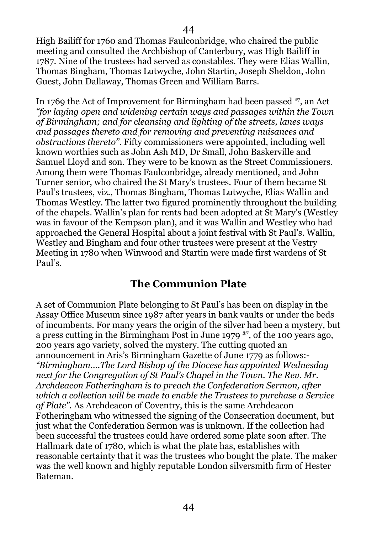High Bailiff for 1760 and Thomas Faulconbridge, who chaired the public meeting and consulted the Archbishop of Canterbury, was High Bailiff in 1787. Nine of the trustees had served as constables. They were Elias Wallin, Thomas Bingham, Thomas Lutwyche, John Startin, Joseph Sheldon, John Guest, John Dallaway, Thomas Green and William Barrs.

In 1769 the Act of Improvement for Birmingham had been passed **<sup>17</sup>**, an Act *"for laying open and widening certain ways and passages within the Town of Birmingham; and for cleansing and lighting of the streets, lanes ways and passages thereto and for removing and preventing nuisances and obstructions thereto"*. Fifty commissioners were appointed, including well known worthies such as John Ash MD, Dr Small, John Baskerville and Samuel Lloyd and son. They were to be known as the Street Commissioners. Among them were Thomas Faulconbridge, already mentioned, and John Turner senior, who chaired the St Mary's trustees. Four of them became St Paul's trustees, viz., Thomas Bingham, Thomas Lutwyche, Elias Wallin and Thomas Westley. The latter two figured prominently throughout the building of the chapels. Wallin's plan for rents had been adopted at St Mary's (Westley was in favour of the Kempson plan), and it was Wallin and Westley who had approached the General Hospital about a joint festival with St Paul's. Wallin, Westley and Bingham and four other trustees were present at the Vestry Meeting in 1780 when Winwood and Startin were made first wardens of St Paul's.

## <span id="page-43-0"></span>**The Communion Plate**

A set of Communion Plate belonging to St Paul's has been on display in the Assay Office Museum since 1987 after years in bank vaults or under the beds of incumbents. For many years the origin of the silver had been a mystery, but a press cutting in the Birmingham Post in June 1979 **<sup>37</sup>**, of the 100 years ago, 200 years ago variety, solved the mystery. The cutting quoted an announcement in Aris's Birmingham Gazette of June 1779 as follows:- *"Birmingham….The Lord Bishop of the Diocese has appointed Wednesday next for the Congregation of St Paul's Chapel in the Town. The Rev. Mr. Archdeacon Fotheringham is to preach the Confederation Sermon, after which a collection will be made to enable the Trustees to purchase a Service of Plate".* As Archdeacon of Coventry, this is the same Archdeacon Fotheringham who witnessed the signing of the Consecration document, but just what the Confederation Sermon was is unknown. If the collection had been successful the trustees could have ordered some plate soon after. The Hallmark date of 1780, which is what the plate has, establishes with reasonable certainty that it was the trustees who bought the plate. The maker was the well known and highly reputable London silversmith firm of Hester Bateman.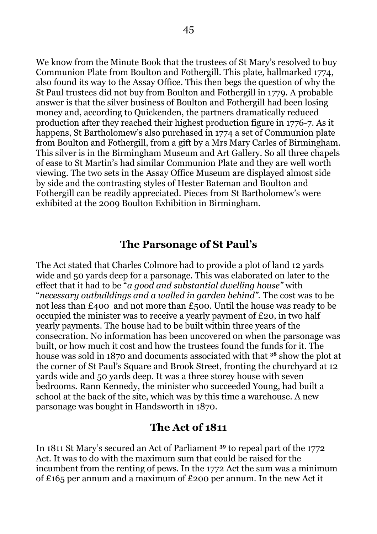We know from the Minute Book that the trustees of St Mary's resolved to buy Communion Plate from Boulton and Fothergill. This plate, hallmarked 1774, also found its way to the Assay Office. This then begs the question of why the St Paul trustees did not buy from Boulton and Fothergill in 1779. A probable answer is that the silver business of Boulton and Fothergill had been losing money and, according to Quickenden, the partners dramatically reduced production after they reached their highest production figure in 1776-7. As it happens, St Bartholomew's also purchased in 1774 a set of Communion plate from Boulton and Fothergill, from a gift by a Mrs Mary Carles of Birmingham. This silver is in the Birmingham Museum and Art Gallery. So all three chapels of ease to St Martin's had similar Communion Plate and they are well worth viewing. The two sets in the Assay Office Museum are displayed almost side by side and the contrasting styles of Hester Bateman and Boulton and Fothergill can be readily appreciated. Pieces from St Bartholomew's were exhibited at the 2009 Boulton Exhibition in Birmingham.

## <span id="page-44-0"></span>**The Parsonage of St Paul's**

The Act stated that Charles Colmore had to provide a plot of land 12 yards wide and 50 yards deep for a parsonage. This was elaborated on later to the effect that it had to be "*a good and substantial dwelling house"* with "*necessary outbuildings and a walled in garden behind".* The cost was to be not less than £400 and not more than £500. Until the house was ready to be occupied the minister was to receive a yearly payment of £20, in two half yearly payments. The house had to be built within three years of the consecration. No information has been uncovered on when the parsonage was built, or how much it cost and how the trustees found the funds for it. The house was sold in 1870 and documents associated with that **<sup>38</sup>** show the plot at the corner of St Paul's Square and Brook Street, fronting the churchyard at 12 yards wide and 50 yards deep. It was a three storey house with seven bedrooms. Rann Kennedy, the minister who succeeded Young, had built a school at the back of the site, which was by this time a warehouse. A new parsonage was bought in Handsworth in 1870.

## **The Act of 1811**

In 1811 St Mary's secured an Act of Parliament **<sup>39</sup>** to repeal part of the 1772 Act. It was to do with the maximum sum that could be raised for the incumbent from the renting of pews. In the 1772 Act the sum was a minimum of £165 per annum and a maximum of £200 per annum. In the new Act it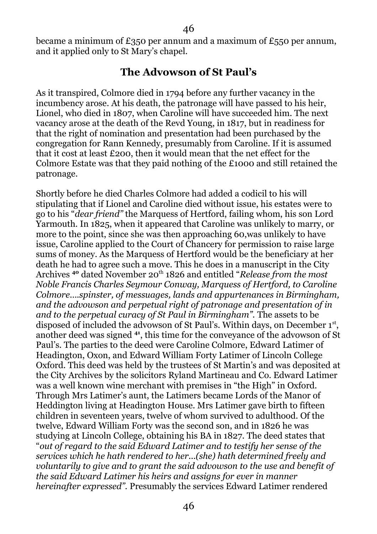became a minimum of £350 per annum and a maximum of £550 per annum, and it applied only to St Mary's chapel.

#### **The Advowson of St Paul's**

As it transpired, Colmore died in 1794 before any further vacancy in the incumbency arose. At his death, the patronage will have passed to his heir, Lionel, who died in 1807, when Caroline will have succeeded him. The next vacancy arose at the death of the Revd Young, in 1817, but in readiness for that the right of nomination and presentation had been purchased by the congregation for Rann Kennedy, presumably from Caroline. If it is assumed that it cost at least £200, then it would mean that the net effect for the Colmore Estate was that they paid nothing of the £1000 and still retained the patronage.

Shortly before he died Charles Colmore had added a codicil to his will stipulating that if Lionel and Caroline died without issue, his estates were to go to his "*dear friend"* the Marquess of Hertford, failing whom, his son Lord Yarmouth. In 1825, when it appeared that Caroline was unlikely to marry, or more to the point, since she was then approaching 60,was unlikely to have issue, Caroline applied to the Court of Chancery for permission to raise large sums of money. As the Marquess of Hertford would be the beneficiary at her death he had to agree such a move. This he does in a manuscript in the City Archives <sup>40</sup> dated November 20<sup>th</sup> 1826 and entitled "*Release from the most Noble Francis Charles Seymour Conway, Marquess of Hertford, to Caroline Colmore….spinster, of messuages, lands and appurtenances in Birmingham, and the advowson and perpetual right of patronage and presentation of in and to the perpetual curacy of St Paul in Birmingham".* The assets to be disposed of included the advowson of St Paul's. Within days, on December 1<sup>st</sup>, another deed was signed **<sup>41</sup>**, this time for the conveyance of the advowson of St Paul's. The parties to the deed were Caroline Colmore, Edward Latimer of Headington, Oxon, and Edward William Forty Latimer of Lincoln College Oxford. This deed was held by the trustees of St Martin's and was deposited at the City Archives by the solicitors Ryland Martineau and Co. Edward Latimer was a well known wine merchant with premises in "the High" in Oxford. Through Mrs Latimer's aunt, the Latimers became Lords of the Manor of Heddington living at Headington House. Mrs Latimer gave birth to fifteen children in seventeen years, twelve of whom survived to adulthood. Of the twelve, Edward William Forty was the second son, and in 1826 he was studying at Lincoln College, obtaining his BA in 1827. The deed states that "*out of regard to the said Edward Latimer and to testify her sense of the services which he hath rendered to her...(she) hath determined freely and voluntarily to give and to grant the said advowson to the use and benefit of the said Edward Latimer his heirs and assigns for ever in manner hereinafter expressed".* Presumably the services Edward Latimer rendered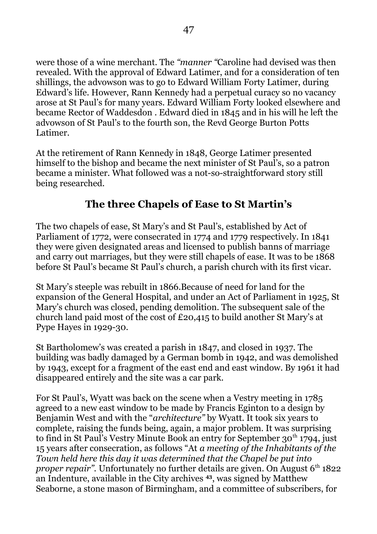were those of a wine merchant. The *"manner "*Caroline had devised was then revealed. With the approval of Edward Latimer, and for a consideration of ten shillings, the advowson was to go to Edward William Forty Latimer, during Edward's life. However, Rann Kennedy had a perpetual curacy so no vacancy arose at St Paul's for many years. Edward William Forty looked elsewhere and became Rector of Waddesdon . Edward died in 1845 and in his will he left the advowson of St Paul's to the fourth son, the Revd George Burton Potts Latimer.

At the retirement of Rann Kennedy in 1848, George Latimer presented himself to the bishop and became the next minister of St Paul's, so a patron became a minister. What followed was a not-so-straightforward story still being researched.

## <span id="page-46-0"></span>**The three Chapels of Ease to St Martin's**

The two chapels of ease, St Mary's and St Paul's, established by Act of Parliament of 1772, were consecrated in 1774 and 1779 respectively. In 1841 they were given designated areas and licensed to publish banns of marriage and carry out marriages, but they were still chapels of ease. It was to be 1868 before St Paul's became St Paul's church, a parish church with its first vicar.

St Mary's steeple was rebuilt in 1866.Because of need for land for the expansion of the General Hospital, and under an Act of Parliament in 1925, St Mary's church was closed, pending demolition. The subsequent sale of the church land paid most of the cost of £20,415 to build another St Mary's at Pype Hayes in 1929-30.

St Bartholomew's was created a parish in 1847, and closed in 1937. The building was badly damaged by a German bomb in 1942, and was demolished by 1943, except for a fragment of the east end and east window. By 1961 it had disappeared entirely and the site was a car park.

For St Paul's, Wyatt was back on the scene when a Vestry meeting in 1785 agreed to a new east window to be made by Francis Eginton to a design by Benjamin West and with the "*architecture"* by Wyatt. It took six years to complete, raising the funds being, again, a major problem. It was surprising to find in St Paul's Vestry Minute Book an entry for September  $30<sup>th</sup> 1794$ , just 15 years after consecration, as follows "At *a meeting of the Inhabitants of the Town held here this day it was determined that the Chapel be put into proper repair".* Unfortunately no further details are given. On August 6<sup>th</sup> 1822 an Indenture, available in the City archives **<sup>43</sup>**, was signed by Matthew Seaborne, a stone mason of Birmingham, and a committee of subscribers, for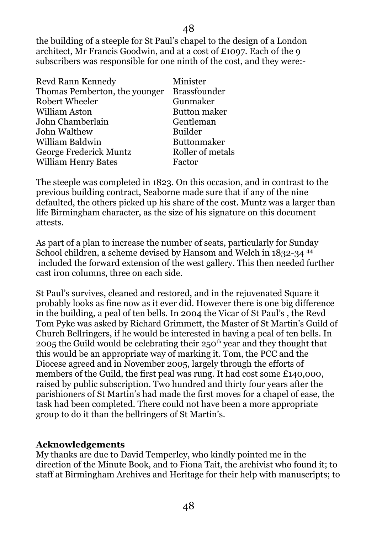the building of a steeple for St Paul's chapel to the design of a London architect, Mr Francis Goodwin, and at a cost of £1097. Each of the 9 subscribers was responsible for one ninth of the cost, and they were:-

| <b>Revd Rann Kennedy</b>      | Minister            |
|-------------------------------|---------------------|
| Thomas Pemberton, the younger | <b>Brassfounder</b> |
| <b>Robert Wheeler</b>         | Gunmaker            |
| William Aston                 | <b>Button maker</b> |
| John Chamberlain              | Gentleman           |
| John Walthew                  | <b>Builder</b>      |
| William Baldwin               | <b>Buttonmaker</b>  |
| George Frederick Muntz        | Roller of metals    |
| <b>William Henry Bates</b>    | Factor              |
|                               |                     |

The steeple was completed in 1823. On this occasion, and in contrast to the previous building contract, Seaborne made sure that if any of the nine defaulted, the others picked up his share of the cost. Muntz was a larger than life Birmingham character, as the size of his signature on this document attests.

As part of a plan to increase the number of seats, particularly for Sunday School children, a scheme devised by Hansom and Welch in 1832-34 **<sup>44</sup>** included the forward extension of the west gallery. This then needed further cast iron columns, three on each side.

St Paul's survives, cleaned and restored, and in the rejuvenated Square it probably looks as fine now as it ever did. However there is one big difference in the building, a peal of ten bells. In 2004 the Vicar of St Paul's , the Revd Tom Pyke was asked by Richard Grimmett, the Master of St Martin's Guild of Church Bellringers, if he would be interested in having a peal of ten bells. In 2005 the Guild would be celebrating their  $250<sup>th</sup>$  year and they thought that this would be an appropriate way of marking it. Tom, the PCC and the Diocese agreed and in November 2005, largely through the efforts of members of the Guild, the first peal was rung. It had cost some £140,000, raised by public subscription. Two hundred and thirty four years after the parishioners of St Martin's had made the first moves for a chapel of ease, the task had been completed. There could not have been a more appropriate group to do it than the bellringers of St Martin's.

#### **Acknowledgements**

My thanks are due to David Temperley, who kindly pointed me in the direction of the Minute Book, and to Fiona Tait, the archivist who found it; to staff at Birmingham Archives and Heritage for their help with manuscripts; to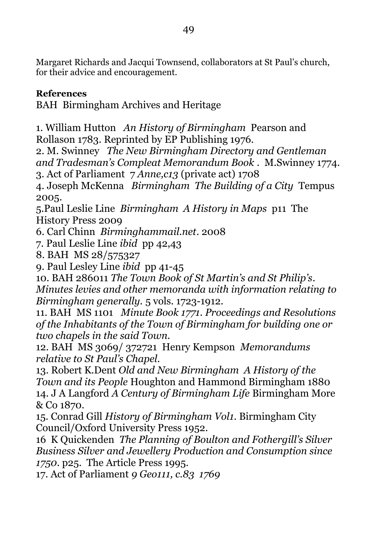Margaret Richards and Jacqui Townsend, collaborators at St Paul's church, for their advice and encouragement.

## **References**

BAH Birmingham Archives and Heritage

1. William Hutton *An History of Birmingham* Pearson and Rollason 1783. Reprinted by EP Publishing 1976.

2. M. Swinney *The New Birmingham Directory and Gentleman and Tradesman's Compleat Memorandum Book* . M.Swinney 1774. 3. Act of Parliament 7 *Anne,c13* (private act) 1708

4. Joseph McKenna *Birmingham The Building of a City* Tempus 2005.

5.Paul Leslie Line *Birmingham A History in Maps* p11 The History Press 2009

6. Carl Chinn *Birminghammail.net*. 2008

7. Paul Leslie Line *ibid* pp 42,43

8. BAH MS 28/575327

9. Paul Lesley Line *ibid* pp 41-45

10. BAH 286011 *The Town Book of St Martin's and St Philip's*. *Minutes levies and other memoranda with information relating to Birmingham generally.* 5 vols. 1723-1912.

11. BAH MS 1101 *Minute Book 1771*. *Proceedings and Resolutions of the Inhabitants of the Town of Birmingham for building one or two chapels in the said Town.*

12. BAH MS 3069/ 372721 Henry Kempson *Memorandums relative to St Paul's Chapel.* 

13. Robert K.Dent *Old and New Birmingham A History of the Town and its People* Houghton and Hammond Birmingham 1880 14. J A Langford *A Century of Birmingham Life* Birmingham More & Co 1870.

15. Conrad Gill *History of Birmingham Vol1*. Birmingham City Council/Oxford University Press 1952.

16 K Quickenden *The Planning of Boulton and Fothergill's Silver Business Silver and Jewellery Production and Consumption since 1750*. p25. The Article Press 1995.

17. Act of Parliament *9 Geo111, c.83 1769*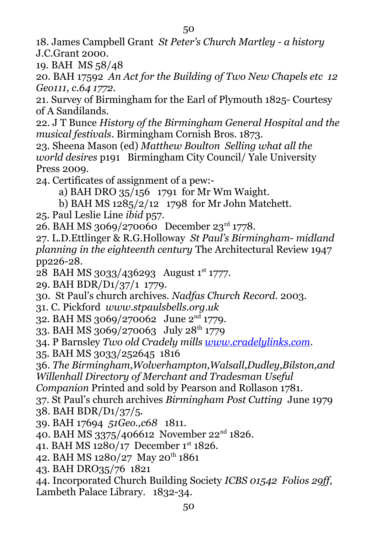18. James Campbell Grant *St Peter's Church Martley - a history* J.C.Grant 2000.

19. BAH MS 58/48

20. BAH 17592 *An Act for the Building of Two New Chapels etc 12 Geo111, c.64 1772.*

21. Survey of Birmingham for the Earl of Plymouth 1825- Courtesy of A Sandilands.

22. J T Bunce *History of the Birmingham General Hospital and the musical festivals*. Birmingham Cornish Bros. 1873.

23. Sheena Mason (ed) *Matthew Boulton Selling what all the world desires* p191 Birmingham City Council/ Yale University Press 2009.

24. Certificates of assignment of a pew:-

a) BAH DRO 35/156 1791 for Mr Wm Waight.

b) BAH MS 1285/2/12 1798 for Mr John Matchett.

25. Paul Leslie Line *ibid* p57.

26. BAH MS 3069/270060 December 23rd 1778.

27. L.D.Ettlinger & R.G.Holloway *St Paul's Birmingham- midland planning in the eighteenth century* The Architectural Review 1947 pp226-28.

28 BAH MS 3033/436293 August 1st 1777.

29. BAH BDR/D1/37/1 1779.

30. St Paul's church archives. *Nadfas Church Record.* 2003.

31. C. Pickford *www.stpaulsbells.org.uk*

32. BAH MS 3069/270062 June 2nd 1779.

33. BAH MS 3069/270063 July 28<sup>th</sup> 1779

34. P Barnsley *Two old Cradely mills [www.cradelylinks.com](http://www.cradelylinks.com/)*.

35. BAH MS 3033/252645 1816

36. *The Birmingham,Wolverhampton,Walsall,Dudley,Bilston,and Willenhall Directory of Merchant and Tradesman Useful* 

*Companion* Printed and sold by Pearson and Rollason 1781.

37. St Paul's church archives *Birmingham Post Cutting* June 1979

- 38. BAH BDR/D1/37/5.
- 39. BAH 17694 *51Geo.,c68* 1811.
- 40. BAH MS 3375/406612 November 22nd 1826.

41. BAH MS 1280/17 December 1st 1826.

- 42. BAH MS 1280/27 May 20<sup>th</sup> 1861
- 43. BAH DRO35/76 1821

44. Incorporated Church Building Society *ICBS 01542 Folios 29ff,* Lambeth Palace Library. 1832-34.